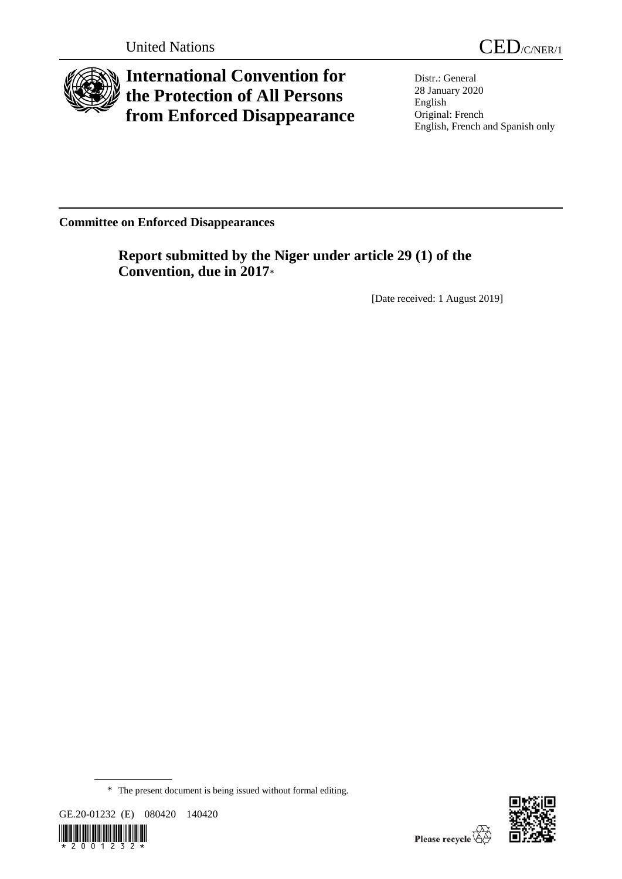

# **International Convention for the Protection of All Persons from Enforced Disappearance**

Distr.: General 28 January 2020 English Original: French English, French and Spanish only

**Committee on Enforced Disappearances**

**Report submitted by the Niger under article 29 (1) of the Convention, due in 2017**\*

[Date received: 1 August 2019]

GE.20-01232 (E) 080420 140420





<sup>\*</sup> The present document is being issued without formal editing.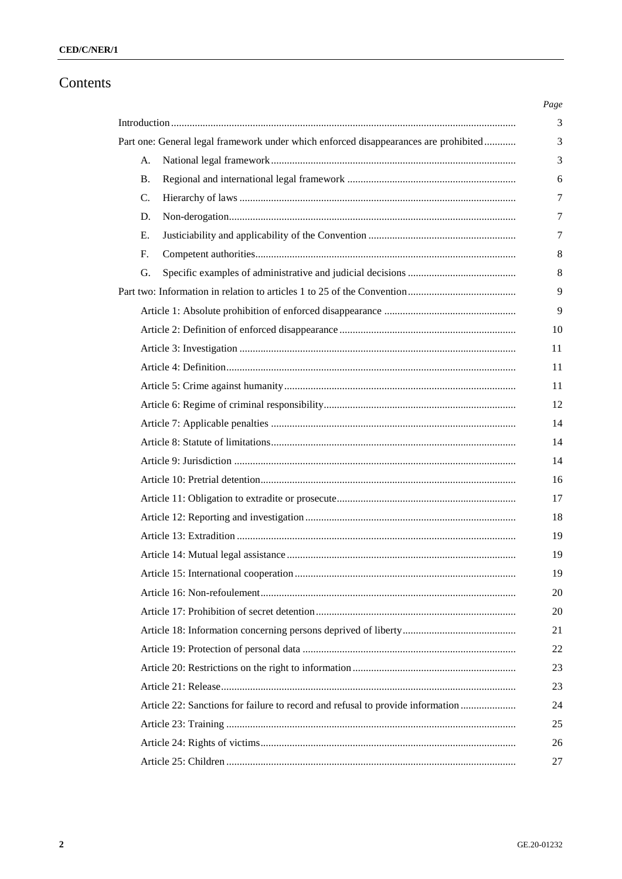# Contents

|                 | Part one: General legal framework under which enforced disappearances are prohibited |
|-----------------|--------------------------------------------------------------------------------------|
| А.              |                                                                                      |
| <b>B.</b>       |                                                                                      |
| $\mathcal{C}$ . |                                                                                      |
| D.              |                                                                                      |
| E.              |                                                                                      |
| F.              |                                                                                      |
| G.              |                                                                                      |
|                 |                                                                                      |
|                 |                                                                                      |
|                 |                                                                                      |
|                 |                                                                                      |
|                 |                                                                                      |
|                 |                                                                                      |
|                 |                                                                                      |
|                 |                                                                                      |
|                 |                                                                                      |
|                 |                                                                                      |
|                 |                                                                                      |
|                 |                                                                                      |
|                 |                                                                                      |
|                 |                                                                                      |
|                 |                                                                                      |
|                 |                                                                                      |
|                 |                                                                                      |
|                 |                                                                                      |
|                 |                                                                                      |
|                 |                                                                                      |
|                 |                                                                                      |
|                 |                                                                                      |
|                 | Article 22: Sanctions for failure to record and refusal to provide information       |
|                 |                                                                                      |
|                 |                                                                                      |
|                 |                                                                                      |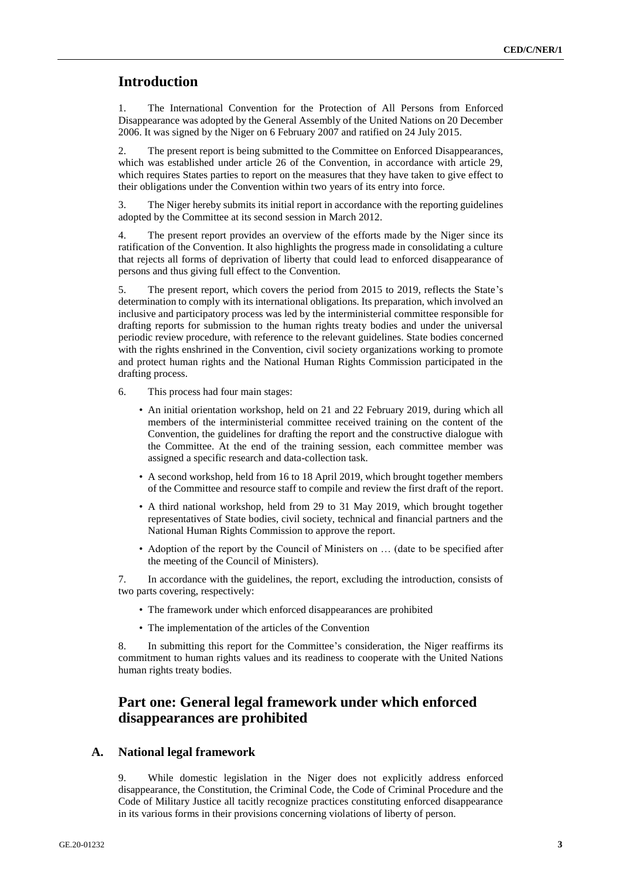# **Introduction**

1. The International Convention for the Protection of All Persons from Enforced Disappearance was adopted by the General Assembly of the United Nations on 20 December 2006. It was signed by the Niger on 6 February 2007 and ratified on 24 July 2015.

2. The present report is being submitted to the Committee on Enforced Disappearances, which was established under article 26 of the Convention, in accordance with article 29, which requires States parties to report on the measures that they have taken to give effect to their obligations under the Convention within two years of its entry into force.

3. The Niger hereby submits its initial report in accordance with the reporting guidelines adopted by the Committee at its second session in March 2012.

4. The present report provides an overview of the efforts made by the Niger since its ratification of the Convention. It also highlights the progress made in consolidating a culture that rejects all forms of deprivation of liberty that could lead to enforced disappearance of persons and thus giving full effect to the Convention.

5. The present report, which covers the period from 2015 to 2019, reflects the State's determination to comply with its international obligations. Its preparation, which involved an inclusive and participatory process was led by the interministerial committee responsible for drafting reports for submission to the human rights treaty bodies and under the universal periodic review procedure, with reference to the relevant guidelines. State bodies concerned with the rights enshrined in the Convention, civil society organizations working to promote and protect human rights and the National Human Rights Commission participated in the drafting process.

6. This process had four main stages:

- An initial orientation workshop, held on 21 and 22 February 2019, during which all members of the interministerial committee received training on the content of the Convention, the guidelines for drafting the report and the constructive dialogue with the Committee. At the end of the training session, each committee member was assigned a specific research and data-collection task.
- A second workshop, held from 16 to 18 April 2019, which brought together members of the Committee and resource staff to compile and review the first draft of the report.
- A third national workshop, held from 29 to 31 May 2019, which brought together representatives of State bodies, civil society, technical and financial partners and the National Human Rights Commission to approve the report.
- Adoption of the report by the Council of Ministers on … (date to be specified after the meeting of the Council of Ministers).

7. In accordance with the guidelines, the report, excluding the introduction, consists of two parts covering, respectively:

- The framework under which enforced disappearances are prohibited
- The implementation of the articles of the Convention

8. In submitting this report for the Committee's consideration, the Niger reaffirms its commitment to human rights values and its readiness to cooperate with the United Nations human rights treaty bodies.

# **Part one: General legal framework under which enforced disappearances are prohibited**

#### **A. National legal framework**

9. While domestic legislation in the Niger does not explicitly address enforced disappearance, the Constitution, the Criminal Code, the Code of Criminal Procedure and the Code of Military Justice all tacitly recognize practices constituting enforced disappearance in its various forms in their provisions concerning violations of liberty of person.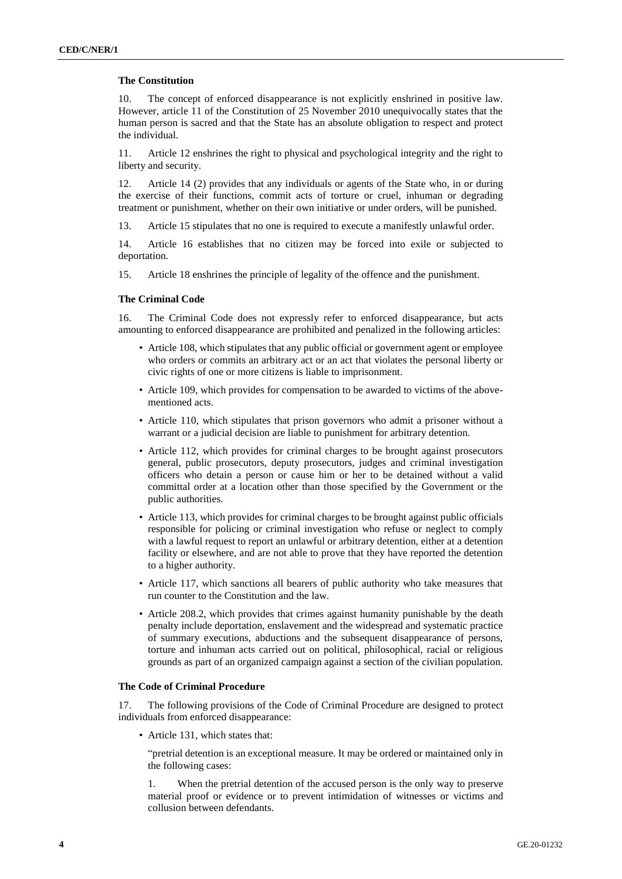#### **The Constitution**

10. The concept of enforced disappearance is not explicitly enshrined in positive law. However, article 11 of the Constitution of 25 November 2010 unequivocally states that the human person is sacred and that the State has an absolute obligation to respect and protect the individual.

11. Article 12 enshrines the right to physical and psychological integrity and the right to liberty and security.

12. Article 14 (2) provides that any individuals or agents of the State who, in or during the exercise of their functions, commit acts of torture or cruel, inhuman or degrading treatment or punishment, whether on their own initiative or under orders, will be punished.

13. Article 15 stipulates that no one is required to execute a manifestly unlawful order.

14. Article 16 establishes that no citizen may be forced into exile or subjected to deportation.

15. Article 18 enshrines the principle of legality of the offence and the punishment.

#### **The Criminal Code**

16. The Criminal Code does not expressly refer to enforced disappearance, but acts amounting to enforced disappearance are prohibited and penalized in the following articles:

- Article 108, which stipulates that any public official or government agent or employee who orders or commits an arbitrary act or an act that violates the personal liberty or civic rights of one or more citizens is liable to imprisonment.
- Article 109, which provides for compensation to be awarded to victims of the abovementioned acts.
- Article 110, which stipulates that prison governors who admit a prisoner without a warrant or a judicial decision are liable to punishment for arbitrary detention.
- Article 112, which provides for criminal charges to be brought against prosecutors general, public prosecutors, deputy prosecutors, judges and criminal investigation officers who detain a person or cause him or her to be detained without a valid committal order at a location other than those specified by the Government or the public authorities.
- Article 113, which provides for criminal charges to be brought against public officials responsible for policing or criminal investigation who refuse or neglect to comply with a lawful request to report an unlawful or arbitrary detention, either at a detention facility or elsewhere, and are not able to prove that they have reported the detention to a higher authority.
- Article 117, which sanctions all bearers of public authority who take measures that run counter to the Constitution and the law.
- Article 208.2, which provides that crimes against humanity punishable by the death penalty include deportation, enslavement and the widespread and systematic practice of summary executions, abductions and the subsequent disappearance of persons, torture and inhuman acts carried out on political, philosophical, racial or religious grounds as part of an organized campaign against a section of the civilian population.

#### **The Code of Criminal Procedure**

17. The following provisions of the Code of Criminal Procedure are designed to protect individuals from enforced disappearance:

• Article 131, which states that:

"pretrial detention is an exceptional measure. It may be ordered or maintained only in the following cases:

1. When the pretrial detention of the accused person is the only way to preserve material proof or evidence or to prevent intimidation of witnesses or victims and collusion between defendants.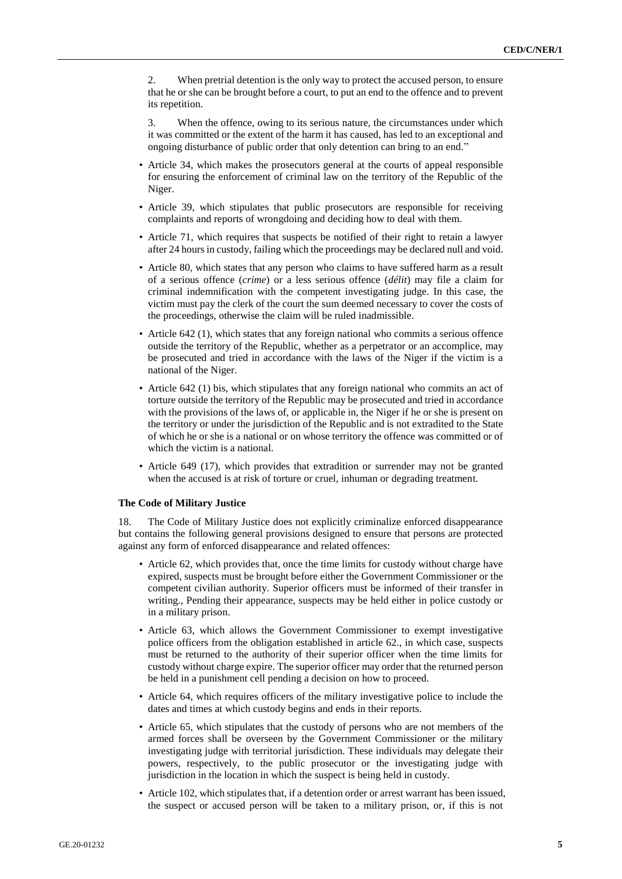2. When pretrial detention is the only way to protect the accused person, to ensure that he or she can be brought before a court, to put an end to the offence and to prevent its repetition.

3. When the offence, owing to its serious nature, the circumstances under which it was committed or the extent of the harm it has caused, has led to an exceptional and ongoing disturbance of public order that only detention can bring to an end."

- Article 34, which makes the prosecutors general at the courts of appeal responsible for ensuring the enforcement of criminal law on the territory of the Republic of the Niger.
- Article 39, which stipulates that public prosecutors are responsible for receiving complaints and reports of wrongdoing and deciding how to deal with them.
- Article 71, which requires that suspects be notified of their right to retain a lawyer after 24 hours in custody, failing which the proceedings may be declared null and void.
- Article 80, which states that any person who claims to have suffered harm as a result of a serious offence (*crime*) or a less serious offence (*délit*) may file a claim for criminal indemnification with the competent investigating judge. In this case, the victim must pay the clerk of the court the sum deemed necessary to cover the costs of the proceedings, otherwise the claim will be ruled inadmissible.
- Article 642 (1), which states that any foreign national who commits a serious offence outside the territory of the Republic, whether as a perpetrator or an accomplice, may be prosecuted and tried in accordance with the laws of the Niger if the victim is a national of the Niger.
- Article 642 (1) bis, which stipulates that any foreign national who commits an act of torture outside the territory of the Republic may be prosecuted and tried in accordance with the provisions of the laws of, or applicable in, the Niger if he or she is present on the territory or under the jurisdiction of the Republic and is not extradited to the State of which he or she is a national or on whose territory the offence was committed or of which the victim is a national.
- Article 649 (17), which provides that extradition or surrender may not be granted when the accused is at risk of torture or cruel, inhuman or degrading treatment.

#### **The Code of Military Justice**

18. The Code of Military Justice does not explicitly criminalize enforced disappearance but contains the following general provisions designed to ensure that persons are protected against any form of enforced disappearance and related offences:

- Article 62, which provides that, once the time limits for custody without charge have expired, suspects must be brought before either the Government Commissioner or the competent civilian authority. Superior officers must be informed of their transfer in writing., Pending their appearance, suspects may be held either in police custody or in a military prison.
- Article 63, which allows the Government Commissioner to exempt investigative police officers from the obligation established in article 62., in which case, suspects must be returned to the authority of their superior officer when the time limits for custody without charge expire. The superior officer may order that the returned person be held in a punishment cell pending a decision on how to proceed.
- Article 64, which requires officers of the military investigative police to include the dates and times at which custody begins and ends in their reports.
- Article 65, which stipulates that the custody of persons who are not members of the armed forces shall be overseen by the Government Commissioner or the military investigating judge with territorial jurisdiction. These individuals may delegate their powers, respectively, to the public prosecutor or the investigating judge with jurisdiction in the location in which the suspect is being held in custody.
- Article 102, which stipulates that, if a detention order or arrest warrant has been issued, the suspect or accused person will be taken to a military prison, or, if this is not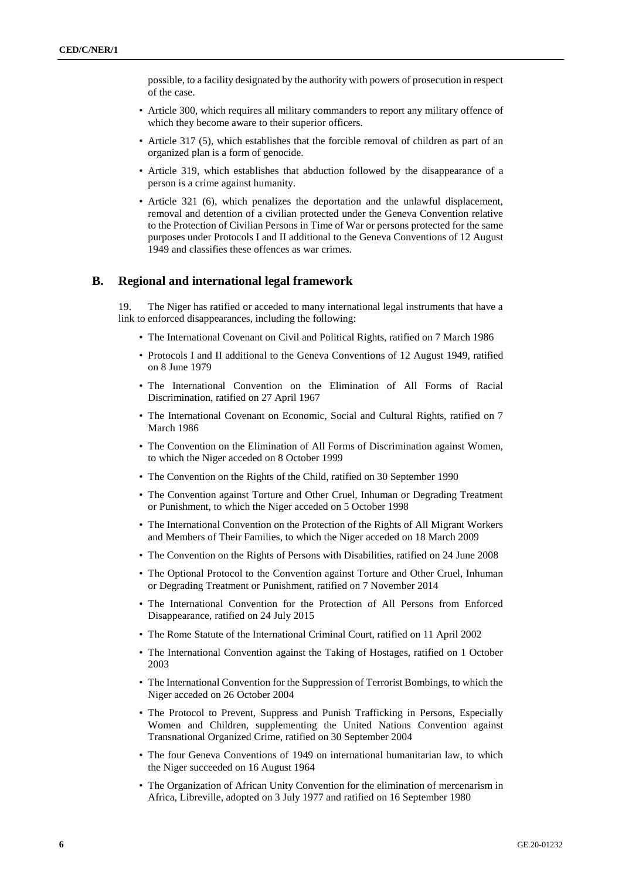possible, to a facility designated by the authority with powers of prosecution in respect of the case.

- Article 300, which requires all military commanders to report any military offence of which they become aware to their superior officers.
- Article 317 (5), which establishes that the forcible removal of children as part of an organized plan is a form of genocide.
- Article 319, which establishes that abduction followed by the disappearance of a person is a crime against humanity.
- Article 321 (6), which penalizes the deportation and the unlawful displacement, removal and detention of a civilian protected under the Geneva Convention relative to the Protection of Civilian Persons in Time of War or persons protected for the same purposes under Protocols I and II additional to the Geneva Conventions of 12 August 1949 and classifies these offences as war crimes.

#### **B. Regional and international legal framework**

19. The Niger has ratified or acceded to many international legal instruments that have a link to enforced disappearances, including the following:

- The International Covenant on Civil and Political Rights, ratified on 7 March 1986
- Protocols I and II additional to the Geneva Conventions of 12 August 1949, ratified on 8 June 1979
- The International Convention on the Elimination of All Forms of Racial Discrimination, ratified on 27 April 1967
- The International Covenant on Economic, Social and Cultural Rights, ratified on 7 March 1986
- The Convention on the Elimination of All Forms of Discrimination against Women, to which the Niger acceded on 8 October 1999
- The Convention on the Rights of the Child, ratified on 30 September 1990
- The Convention against Torture and Other Cruel, Inhuman or Degrading Treatment or Punishment, to which the Niger acceded on 5 October 1998
- The International Convention on the Protection of the Rights of All Migrant Workers and Members of Their Families, to which the Niger acceded on 18 March 2009
- The Convention on the Rights of Persons with Disabilities, ratified on 24 June 2008
- The Optional Protocol to the Convention against Torture and Other Cruel, Inhuman or Degrading Treatment or Punishment, ratified on 7 November 2014
- The International Convention for the Protection of All Persons from Enforced Disappearance, ratified on 24 July 2015
- The Rome Statute of the International Criminal Court, ratified on 11 April 2002
- The International Convention against the Taking of Hostages, ratified on 1 October 2003
- The International Convention for the Suppression of Terrorist Bombings, to which the Niger acceded on 26 October 2004
- The Protocol to Prevent, Suppress and Punish Trafficking in Persons, Especially Women and Children, supplementing the United Nations Convention against Transnational Organized Crime, ratified on 30 September 2004
- The four Geneva Conventions of 1949 on international humanitarian law, to which the Niger succeeded on 16 August 1964
- The Organization of African Unity Convention for the elimination of mercenarism in Africa, Libreville, adopted on 3 July 1977 and ratified on 16 September 1980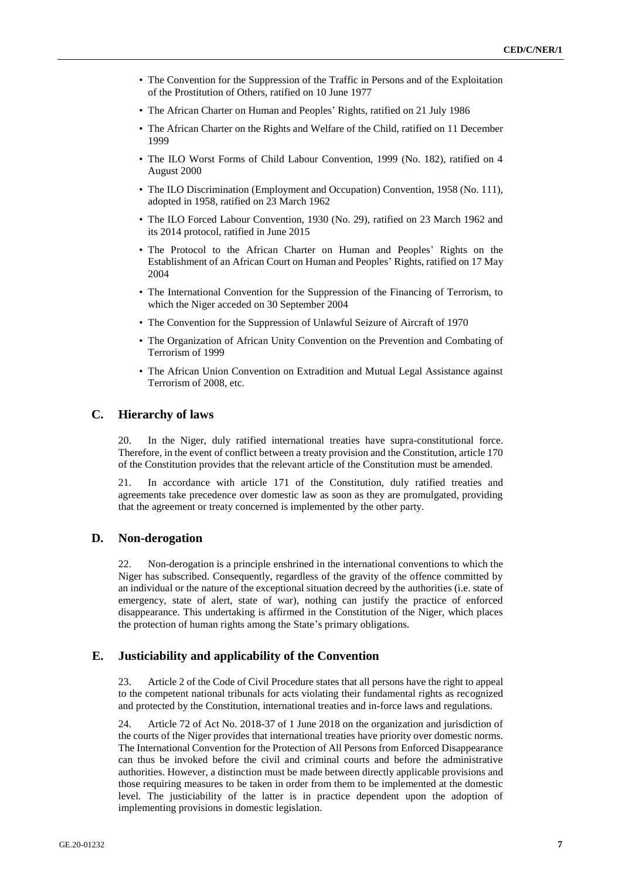- The Convention for the Suppression of the Traffic in Persons and of the Exploitation of the Prostitution of Others, ratified on 10 June 1977
- The African Charter on Human and Peoples' Rights, ratified on 21 July 1986
- The African Charter on the Rights and Welfare of the Child, ratified on 11 December 1999
- The ILO Worst Forms of Child Labour Convention, 1999 (No. 182), ratified on 4 August 2000
- The ILO Discrimination (Employment and Occupation) Convention, 1958 (No. 111), adopted in 1958, ratified on 23 March 1962
- The ILO Forced Labour Convention, 1930 (No. 29), ratified on 23 March 1962 and its 2014 protocol, ratified in June 2015
- The Protocol to the African Charter on Human and Peoples' Rights on the Establishment of an African Court on Human and Peoples' Rights, ratified on 17 May 2004
- The International Convention for the Suppression of the Financing of Terrorism, to which the Niger acceded on 30 September 2004
- The Convention for the Suppression of Unlawful Seizure of Aircraft of 1970
- The Organization of African Unity Convention on the Prevention and Combating of Terrorism of 1999
- The African Union Convention on Extradition and Mutual Legal Assistance against Terrorism of 2008, etc.

#### **C. Hierarchy of laws**

20. In the Niger, duly ratified international treaties have supra-constitutional force. Therefore, in the event of conflict between a treaty provision and the Constitution, article 170 of the Constitution provides that the relevant article of the Constitution must be amended.

21. In accordance with article 171 of the Constitution, duly ratified treaties and agreements take precedence over domestic law as soon as they are promulgated, providing that the agreement or treaty concerned is implemented by the other party.

## **D. Non-derogation**

22. Non-derogation is a principle enshrined in the international conventions to which the Niger has subscribed. Consequently, regardless of the gravity of the offence committed by an individual or the nature of the exceptional situation decreed by the authorities (i.e. state of emergency, state of alert, state of war), nothing can justify the practice of enforced disappearance. This undertaking is affirmed in the Constitution of the Niger, which places the protection of human rights among the State's primary obligations.

# **E. Justiciability and applicability of the Convention**

23. Article 2 of the Code of Civil Procedure states that all persons have the right to appeal to the competent national tribunals for acts violating their fundamental rights as recognized and protected by the Constitution, international treaties and in-force laws and regulations.

24. Article 72 of Act No. 2018-37 of 1 June 2018 on the organization and jurisdiction of the courts of the Niger provides that international treaties have priority over domestic norms. The International Convention for the Protection of All Persons from Enforced Disappearance can thus be invoked before the civil and criminal courts and before the administrative authorities. However, a distinction must be made between directly applicable provisions and those requiring measures to be taken in order from them to be implemented at the domestic level. The justiciability of the latter is in practice dependent upon the adoption of implementing provisions in domestic legislation.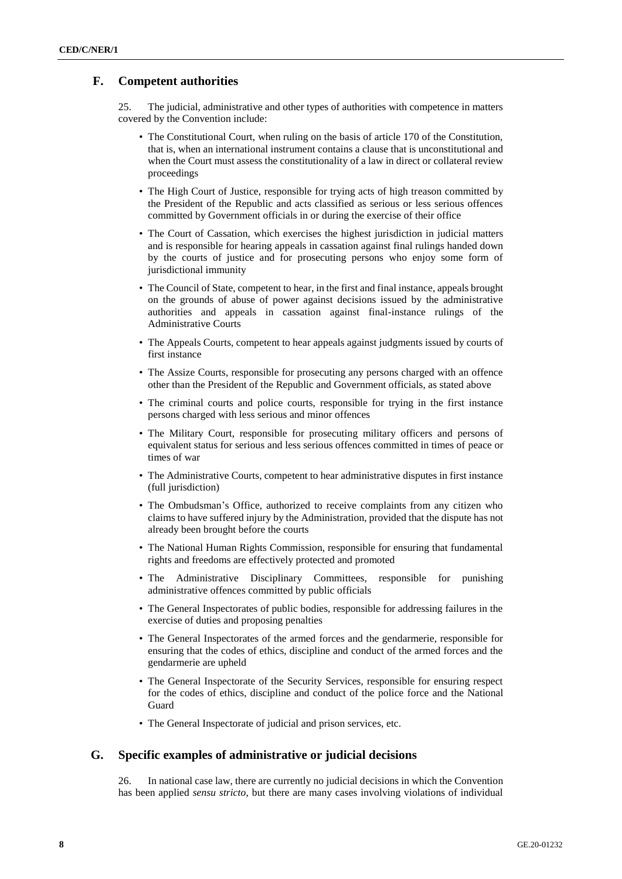# **F. Competent authorities**

25. The judicial, administrative and other types of authorities with competence in matters covered by the Convention include:

- The Constitutional Court, when ruling on the basis of article 170 of the Constitution, that is, when an international instrument contains a clause that is unconstitutional and when the Court must assess the constitutionality of a law in direct or collateral review proceedings
- The High Court of Justice, responsible for trying acts of high treason committed by the President of the Republic and acts classified as serious or less serious offences committed by Government officials in or during the exercise of their office
- The Court of Cassation, which exercises the highest jurisdiction in judicial matters and is responsible for hearing appeals in cassation against final rulings handed down by the courts of justice and for prosecuting persons who enjoy some form of jurisdictional immunity
- The Council of State, competent to hear, in the first and final instance, appeals brought on the grounds of abuse of power against decisions issued by the administrative authorities and appeals in cassation against final-instance rulings of the Administrative Courts
- The Appeals Courts, competent to hear appeals against judgments issued by courts of first instance
- The Assize Courts, responsible for prosecuting any persons charged with an offence other than the President of the Republic and Government officials, as stated above
- The criminal courts and police courts, responsible for trying in the first instance persons charged with less serious and minor offences
- The Military Court, responsible for prosecuting military officers and persons of equivalent status for serious and less serious offences committed in times of peace or times of war
- The Administrative Courts, competent to hear administrative disputes in first instance (full jurisdiction)
- The Ombudsman's Office, authorized to receive complaints from any citizen who claims to have suffered injury by the Administration, provided that the dispute has not already been brought before the courts
- The National Human Rights Commission, responsible for ensuring that fundamental rights and freedoms are effectively protected and promoted
- The Administrative Disciplinary Committees, responsible for punishing administrative offences committed by public officials
- The General Inspectorates of public bodies, responsible for addressing failures in the exercise of duties and proposing penalties
- The General Inspectorates of the armed forces and the gendarmerie, responsible for ensuring that the codes of ethics, discipline and conduct of the armed forces and the gendarmerie are upheld
- The General Inspectorate of the Security Services, responsible for ensuring respect for the codes of ethics, discipline and conduct of the police force and the National Guard
- The General Inspectorate of judicial and prison services, etc.

#### **G. Specific examples of administrative or judicial decisions**

26. In national case law, there are currently no judicial decisions in which the Convention has been applied *sensu stricto*, but there are many cases involving violations of individual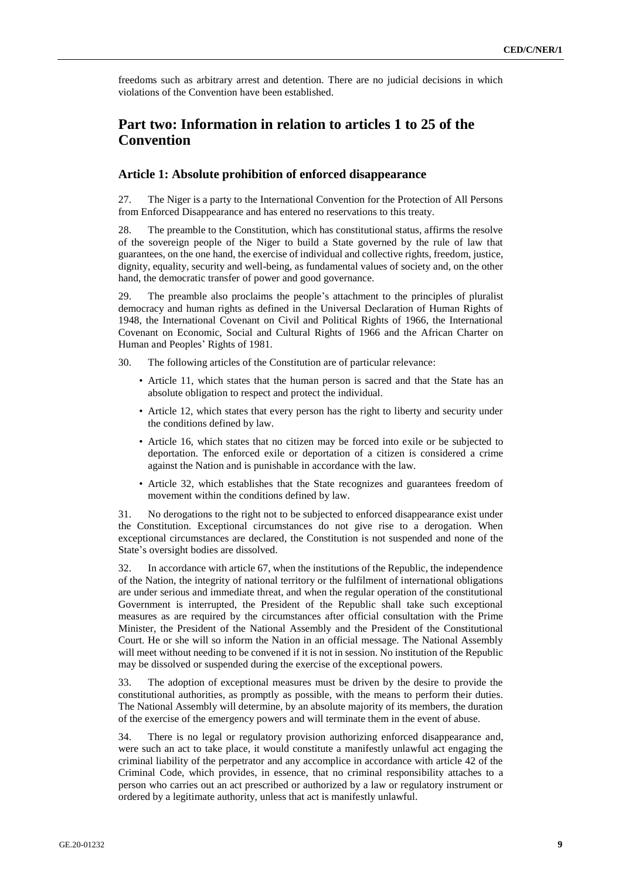freedoms such as arbitrary arrest and detention. There are no judicial decisions in which violations of the Convention have been established.

# **Part two: Information in relation to articles 1 to 25 of the Convention**

#### **Article 1: Absolute prohibition of enforced disappearance**

27. The Niger is a party to the International Convention for the Protection of All Persons from Enforced Disappearance and has entered no reservations to this treaty.

28. The preamble to the Constitution, which has constitutional status, affirms the resolve of the sovereign people of the Niger to build a State governed by the rule of law that guarantees, on the one hand, the exercise of individual and collective rights, freedom, justice, dignity, equality, security and well-being, as fundamental values of society and, on the other hand, the democratic transfer of power and good governance.

29. The preamble also proclaims the people's attachment to the principles of pluralist democracy and human rights as defined in the Universal Declaration of Human Rights of 1948, the International Covenant on Civil and Political Rights of 1966, the International Covenant on Economic, Social and Cultural Rights of 1966 and the African Charter on Human and Peoples' Rights of 1981.

30. The following articles of the Constitution are of particular relevance:

- Article 11, which states that the human person is sacred and that the State has an absolute obligation to respect and protect the individual.
- Article 12, which states that every person has the right to liberty and security under the conditions defined by law.
- Article 16, which states that no citizen may be forced into exile or be subjected to deportation. The enforced exile or deportation of a citizen is considered a crime against the Nation and is punishable in accordance with the law.
- Article 32, which establishes that the State recognizes and guarantees freedom of movement within the conditions defined by law.

31. No derogations to the right not to be subjected to enforced disappearance exist under the Constitution. Exceptional circumstances do not give rise to a derogation. When exceptional circumstances are declared, the Constitution is not suspended and none of the State's oversight bodies are dissolved.

32. In accordance with article 67, when the institutions of the Republic, the independence of the Nation, the integrity of national territory or the fulfilment of international obligations are under serious and immediate threat, and when the regular operation of the constitutional Government is interrupted, the President of the Republic shall take such exceptional measures as are required by the circumstances after official consultation with the Prime Minister, the President of the National Assembly and the President of the Constitutional Court. He or she will so inform the Nation in an official message. The National Assembly will meet without needing to be convened if it is not in session. No institution of the Republic may be dissolved or suspended during the exercise of the exceptional powers.

33. The adoption of exceptional measures must be driven by the desire to provide the constitutional authorities, as promptly as possible, with the means to perform their duties. The National Assembly will determine, by an absolute majority of its members, the duration of the exercise of the emergency powers and will terminate them in the event of abuse.

34. There is no legal or regulatory provision authorizing enforced disappearance and, were such an act to take place, it would constitute a manifestly unlawful act engaging the criminal liability of the perpetrator and any accomplice in accordance with article 42 of the Criminal Code, which provides, in essence, that no criminal responsibility attaches to a person who carries out an act prescribed or authorized by a law or regulatory instrument or ordered by a legitimate authority, unless that act is manifestly unlawful.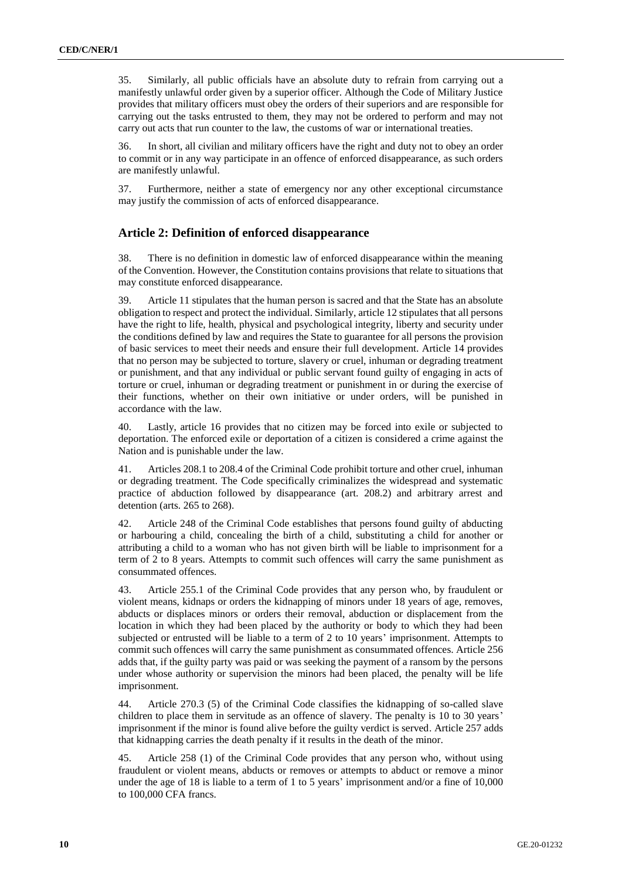35. Similarly, all public officials have an absolute duty to refrain from carrying out a manifestly unlawful order given by a superior officer. Although the Code of Military Justice provides that military officers must obey the orders of their superiors and are responsible for carrying out the tasks entrusted to them, they may not be ordered to perform and may not carry out acts that run counter to the law, the customs of war or international treaties.

36. In short, all civilian and military officers have the right and duty not to obey an order to commit or in any way participate in an offence of enforced disappearance, as such orders are manifestly unlawful.

37. Furthermore, neither a state of emergency nor any other exceptional circumstance may justify the commission of acts of enforced disappearance.

#### **Article 2: Definition of enforced disappearance**

38. There is no definition in domestic law of enforced disappearance within the meaning of the Convention. However, the Constitution contains provisions that relate to situations that may constitute enforced disappearance.

39. Article 11 stipulates that the human person is sacred and that the State has an absolute obligation to respect and protect the individual. Similarly, article 12 stipulates that all persons have the right to life, health, physical and psychological integrity, liberty and security under the conditions defined by law and requires the State to guarantee for all persons the provision of basic services to meet their needs and ensure their full development. Article 14 provides that no person may be subjected to torture, slavery or cruel, inhuman or degrading treatment or punishment, and that any individual or public servant found guilty of engaging in acts of torture or cruel, inhuman or degrading treatment or punishment in or during the exercise of their functions, whether on their own initiative or under orders, will be punished in accordance with the law.

40. Lastly, article 16 provides that no citizen may be forced into exile or subjected to deportation. The enforced exile or deportation of a citizen is considered a crime against the Nation and is punishable under the law.

41. Articles 208.1 to 208.4 of the Criminal Code prohibit torture and other cruel, inhuman or degrading treatment. The Code specifically criminalizes the widespread and systematic practice of abduction followed by disappearance (art. 208.2) and arbitrary arrest and detention (arts. 265 to 268).

42. Article 248 of the Criminal Code establishes that persons found guilty of abducting or harbouring a child, concealing the birth of a child, substituting a child for another or attributing a child to a woman who has not given birth will be liable to imprisonment for a term of 2 to 8 years. Attempts to commit such offences will carry the same punishment as consummated offences.

43. Article 255.1 of the Criminal Code provides that any person who, by fraudulent or violent means, kidnaps or orders the kidnapping of minors under 18 years of age, removes, abducts or displaces minors or orders their removal, abduction or displacement from the location in which they had been placed by the authority or body to which they had been subjected or entrusted will be liable to a term of 2 to 10 years' imprisonment. Attempts to commit such offences will carry the same punishment as consummated offences. Article 256 adds that, if the guilty party was paid or was seeking the payment of a ransom by the persons under whose authority or supervision the minors had been placed, the penalty will be life imprisonment.

44. Article 270.3 (5) of the Criminal Code classifies the kidnapping of so-called slave children to place them in servitude as an offence of slavery. The penalty is 10 to 30 years' imprisonment if the minor is found alive before the guilty verdict is served. Article 257 adds that kidnapping carries the death penalty if it results in the death of the minor.

45. Article 258 (1) of the Criminal Code provides that any person who, without using fraudulent or violent means, abducts or removes or attempts to abduct or remove a minor under the age of 18 is liable to a term of 1 to 5 years' imprisonment and/or a fine of 10,000 to 100,000 CFA francs.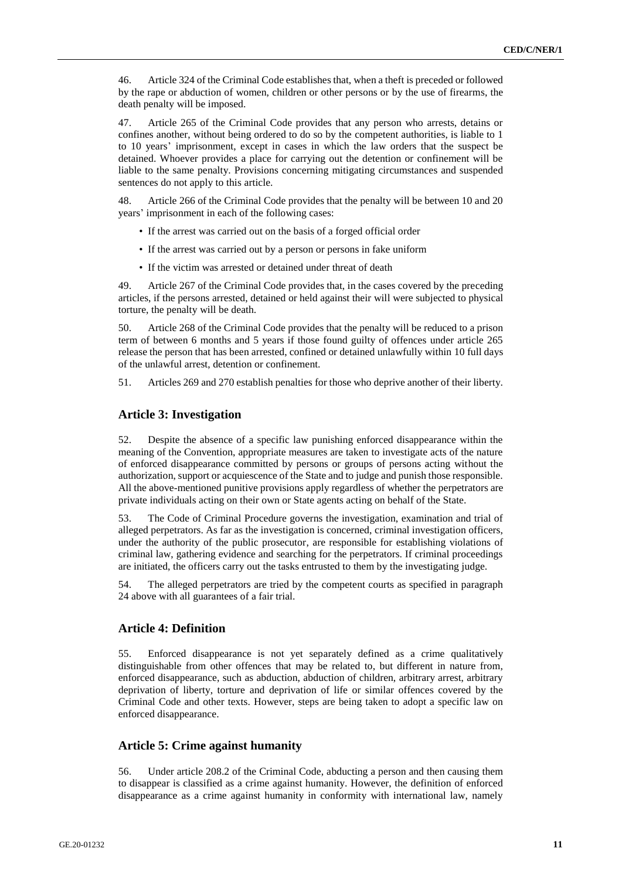46. Article 324 of the Criminal Code establishes that, when a theft is preceded or followed by the rape or abduction of women, children or other persons or by the use of firearms, the death penalty will be imposed.

47. Article 265 of the Criminal Code provides that any person who arrests, detains or confines another, without being ordered to do so by the competent authorities, is liable to 1 to 10 years' imprisonment, except in cases in which the law orders that the suspect be detained. Whoever provides a place for carrying out the detention or confinement will be liable to the same penalty. Provisions concerning mitigating circumstances and suspended sentences do not apply to this article.

48. Article 266 of the Criminal Code provides that the penalty will be between 10 and 20 years' imprisonment in each of the following cases:

- If the arrest was carried out on the basis of a forged official order
- If the arrest was carried out by a person or persons in fake uniform
- If the victim was arrested or detained under threat of death

49. Article 267 of the Criminal Code provides that, in the cases covered by the preceding articles, if the persons arrested, detained or held against their will were subjected to physical torture, the penalty will be death.

50. Article 268 of the Criminal Code provides that the penalty will be reduced to a prison term of between 6 months and 5 years if those found guilty of offences under article 265 release the person that has been arrested, confined or detained unlawfully within 10 full days of the unlawful arrest, detention or confinement.

51. Articles 269 and 270 establish penalties for those who deprive another of their liberty.

#### **Article 3: Investigation**

52. Despite the absence of a specific law punishing enforced disappearance within the meaning of the Convention, appropriate measures are taken to investigate acts of the nature of enforced disappearance committed by persons or groups of persons acting without the authorization, support or acquiescence of the State and to judge and punish those responsible. All the above-mentioned punitive provisions apply regardless of whether the perpetrators are private individuals acting on their own or State agents acting on behalf of the State.

53. The Code of Criminal Procedure governs the investigation, examination and trial of alleged perpetrators. As far as the investigation is concerned, criminal investigation officers, under the authority of the public prosecutor, are responsible for establishing violations of criminal law, gathering evidence and searching for the perpetrators. If criminal proceedings are initiated, the officers carry out the tasks entrusted to them by the investigating judge.

54. The alleged perpetrators are tried by the competent courts as specified in paragraph 24 above with all guarantees of a fair trial.

## **Article 4: Definition**

55. Enforced disappearance is not yet separately defined as a crime qualitatively distinguishable from other offences that may be related to, but different in nature from, enforced disappearance, such as abduction, abduction of children, arbitrary arrest, arbitrary deprivation of liberty, torture and deprivation of life or similar offences covered by the Criminal Code and other texts. However, steps are being taken to adopt a specific law on enforced disappearance.

#### **Article 5: Crime against humanity**

56. Under article 208.2 of the Criminal Code, abducting a person and then causing them to disappear is classified as a crime against humanity. However, the definition of enforced disappearance as a crime against humanity in conformity with international law, namely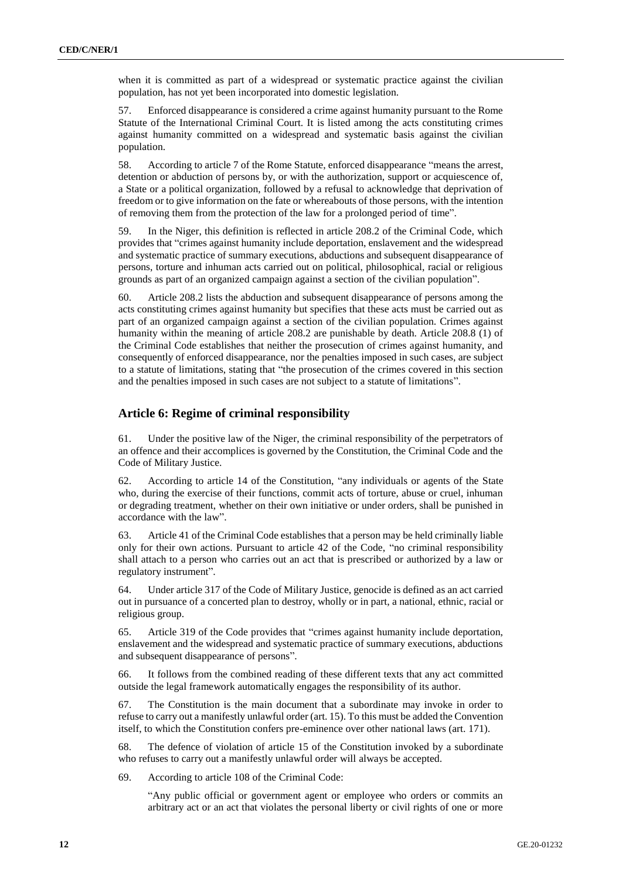when it is committed as part of a widespread or systematic practice against the civilian population, has not yet been incorporated into domestic legislation.

57. Enforced disappearance is considered a crime against humanity pursuant to the Rome Statute of the International Criminal Court. It is listed among the acts constituting crimes against humanity committed on a widespread and systematic basis against the civilian population.

58. According to article 7 of the Rome Statute, enforced disappearance "means the arrest, detention or abduction of persons by, or with the authorization, support or acquiescence of, a State or a political organization, followed by a refusal to acknowledge that deprivation of freedom or to give information on the fate or whereabouts of those persons, with the intention of removing them from the protection of the law for a prolonged period of time".

59. In the Niger, this definition is reflected in article 208.2 of the Criminal Code, which provides that "crimes against humanity include deportation, enslavement and the widespread and systematic practice of summary executions, abductions and subsequent disappearance of persons, torture and inhuman acts carried out on political, philosophical, racial or religious grounds as part of an organized campaign against a section of the civilian population".

60. Article 208.2 lists the abduction and subsequent disappearance of persons among the acts constituting crimes against humanity but specifies that these acts must be carried out as part of an organized campaign against a section of the civilian population. Crimes against humanity within the meaning of article 208.2 are punishable by death. Article 208.8 (1) of the Criminal Code establishes that neither the prosecution of crimes against humanity, and consequently of enforced disappearance, nor the penalties imposed in such cases, are subject to a statute of limitations, stating that "the prosecution of the crimes covered in this section and the penalties imposed in such cases are not subject to a statute of limitations".

#### **Article 6: Regime of criminal responsibility**

61. Under the positive law of the Niger, the criminal responsibility of the perpetrators of an offence and their accomplices is governed by the Constitution, the Criminal Code and the Code of Military Justice.

62. According to article 14 of the Constitution, "any individuals or agents of the State who, during the exercise of their functions, commit acts of torture, abuse or cruel, inhuman or degrading treatment, whether on their own initiative or under orders, shall be punished in accordance with the law".

63. Article 41 of the Criminal Code establishes that a person may be held criminally liable only for their own actions. Pursuant to article 42 of the Code, "no criminal responsibility shall attach to a person who carries out an act that is prescribed or authorized by a law or regulatory instrument".

64. Under article 317 of the Code of Military Justice, genocide is defined as an act carried out in pursuance of a concerted plan to destroy, wholly or in part, a national, ethnic, racial or religious group.

65. Article 319 of the Code provides that "crimes against humanity include deportation, enslavement and the widespread and systematic practice of summary executions, abductions and subsequent disappearance of persons".

66. It follows from the combined reading of these different texts that any act committed outside the legal framework automatically engages the responsibility of its author.

67. The Constitution is the main document that a subordinate may invoke in order to refuse to carry out a manifestly unlawful order (art. 15). To this must be added the Convention itself, to which the Constitution confers pre-eminence over other national laws (art. 171).

68. The defence of violation of article 15 of the Constitution invoked by a subordinate who refuses to carry out a manifestly unlawful order will always be accepted.

69. According to article 108 of the Criminal Code:

"Any public official or government agent or employee who orders or commits an arbitrary act or an act that violates the personal liberty or civil rights of one or more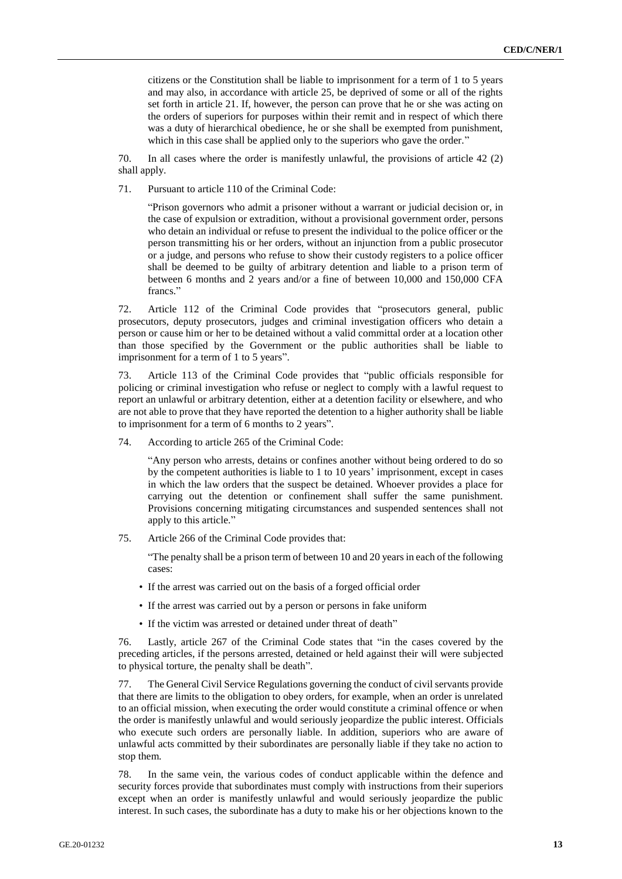citizens or the Constitution shall be liable to imprisonment for a term of 1 to 5 years and may also, in accordance with article 25, be deprived of some or all of the rights set forth in article 21. If, however, the person can prove that he or she was acting on the orders of superiors for purposes within their remit and in respect of which there was a duty of hierarchical obedience, he or she shall be exempted from punishment, which in this case shall be applied only to the superiors who gave the order."

70. In all cases where the order is manifestly unlawful, the provisions of article 42 (2) shall apply.

71. Pursuant to article 110 of the Criminal Code:

"Prison governors who admit a prisoner without a warrant or judicial decision or, in the case of expulsion or extradition, without a provisional government order, persons who detain an individual or refuse to present the individual to the police officer or the person transmitting his or her orders, without an injunction from a public prosecutor or a judge, and persons who refuse to show their custody registers to a police officer shall be deemed to be guilty of arbitrary detention and liable to a prison term of between 6 months and 2 years and/or a fine of between 10,000 and 150,000 CFA francs."

72. Article 112 of the Criminal Code provides that "prosecutors general, public prosecutors, deputy prosecutors, judges and criminal investigation officers who detain a person or cause him or her to be detained without a valid committal order at a location other than those specified by the Government or the public authorities shall be liable to imprisonment for a term of 1 to 5 years".

73. Article 113 of the Criminal Code provides that "public officials responsible for policing or criminal investigation who refuse or neglect to comply with a lawful request to report an unlawful or arbitrary detention, either at a detention facility or elsewhere, and who are not able to prove that they have reported the detention to a higher authority shall be liable to imprisonment for a term of 6 months to 2 years".

74. According to article 265 of the Criminal Code:

"Any person who arrests, detains or confines another without being ordered to do so by the competent authorities is liable to 1 to 10 years' imprisonment, except in cases in which the law orders that the suspect be detained. Whoever provides a place for carrying out the detention or confinement shall suffer the same punishment. Provisions concerning mitigating circumstances and suspended sentences shall not apply to this article."

75. Article 266 of the Criminal Code provides that:

"The penalty shall be a prison term of between 10 and 20 years in each of the following cases:

- If the arrest was carried out on the basis of a forged official order
- If the arrest was carried out by a person or persons in fake uniform
- If the victim was arrested or detained under threat of death"

76. Lastly, article 267 of the Criminal Code states that "in the cases covered by the preceding articles, if the persons arrested, detained or held against their will were subjected to physical torture, the penalty shall be death".

77. The General Civil Service Regulations governing the conduct of civil servants provide that there are limits to the obligation to obey orders, for example, when an order is unrelated to an official mission, when executing the order would constitute a criminal offence or when the order is manifestly unlawful and would seriously jeopardize the public interest. Officials who execute such orders are personally liable. In addition, superiors who are aware of unlawful acts committed by their subordinates are personally liable if they take no action to stop them.

78. In the same vein, the various codes of conduct applicable within the defence and security forces provide that subordinates must comply with instructions from their superiors except when an order is manifestly unlawful and would seriously jeopardize the public interest. In such cases, the subordinate has a duty to make his or her objections known to the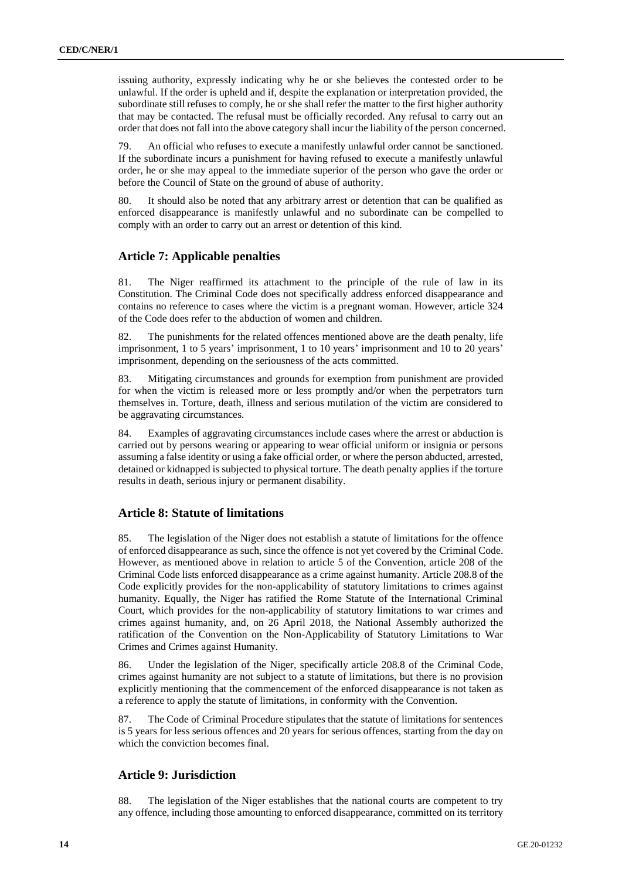issuing authority, expressly indicating why he or she believes the contested order to be unlawful. If the order is upheld and if, despite the explanation or interpretation provided, the subordinate still refuses to comply, he or she shall refer the matter to the first higher authority that may be contacted. The refusal must be officially recorded. Any refusal to carry out an order that does not fall into the above category shall incur the liability of the person concerned.

79. An official who refuses to execute a manifestly unlawful order cannot be sanctioned. If the subordinate incurs a punishment for having refused to execute a manifestly unlawful order, he or she may appeal to the immediate superior of the person who gave the order or before the Council of State on the ground of abuse of authority.

80. It should also be noted that any arbitrary arrest or detention that can be qualified as enforced disappearance is manifestly unlawful and no subordinate can be compelled to comply with an order to carry out an arrest or detention of this kind.

#### **Article 7: Applicable penalties**

81. The Niger reaffirmed its attachment to the principle of the rule of law in its Constitution. The Criminal Code does not specifically address enforced disappearance and contains no reference to cases where the victim is a pregnant woman. However, article 324 of the Code does refer to the abduction of women and children.

82. The punishments for the related offences mentioned above are the death penalty, life imprisonment, 1 to 5 years' imprisonment, 1 to 10 years' imprisonment and 10 to 20 years' imprisonment, depending on the seriousness of the acts committed.

83. Mitigating circumstances and grounds for exemption from punishment are provided for when the victim is released more or less promptly and/or when the perpetrators turn themselves in. Torture, death, illness and serious mutilation of the victim are considered to be aggravating circumstances.

84. Examples of aggravating circumstances include cases where the arrest or abduction is carried out by persons wearing or appearing to wear official uniform or insignia or persons assuming a false identity or using a fake official order, or where the person abducted, arrested, detained or kidnapped is subjected to physical torture. The death penalty applies if the torture results in death, serious injury or permanent disability.

#### **Article 8: Statute of limitations**

85. The legislation of the Niger does not establish a statute of limitations for the offence of enforced disappearance as such, since the offence is not yet covered by the Criminal Code. However, as mentioned above in relation to article 5 of the Convention, article 208 of the Criminal Code lists enforced disappearance as a crime against humanity. Article 208.8 of the Code explicitly provides for the non-applicability of statutory limitations to crimes against humanity. Equally, the Niger has ratified the Rome Statute of the International Criminal Court, which provides for the non-applicability of statutory limitations to war crimes and crimes against humanity, and, on 26 April 2018, the National Assembly authorized the ratification of the Convention on the Non-Applicability of Statutory Limitations to War Crimes and Crimes against Humanity.

86. Under the legislation of the Niger, specifically article 208.8 of the Criminal Code, crimes against humanity are not subject to a statute of limitations, but there is no provision explicitly mentioning that the commencement of the enforced disappearance is not taken as a reference to apply the statute of limitations, in conformity with the Convention.

87. The Code of Criminal Procedure stipulates that the statute of limitations for sentences is 5 years for less serious offences and 20 years for serious offences, starting from the day on which the conviction becomes final.

# **Article 9: Jurisdiction**

88. The legislation of the Niger establishes that the national courts are competent to try any offence, including those amounting to enforced disappearance, committed on its territory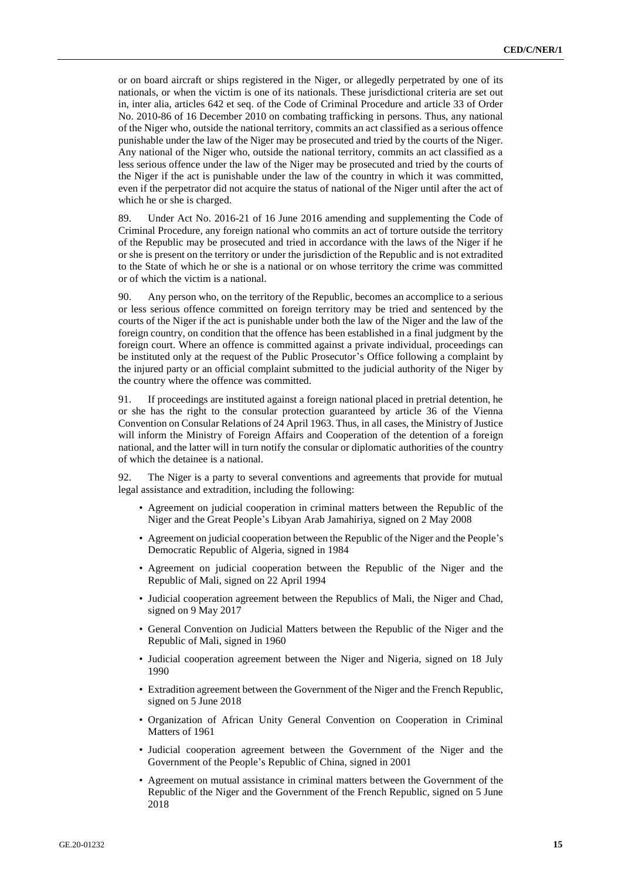or on board aircraft or ships registered in the Niger, or allegedly perpetrated by one of its nationals, or when the victim is one of its nationals. These jurisdictional criteria are set out in, inter alia, articles 642 et seq. of the Code of Criminal Procedure and article 33 of Order No. 2010-86 of 16 December 2010 on combating trafficking in persons. Thus, any national of the Niger who, outside the national territory, commits an act classified as a serious offence punishable under the law of the Niger may be prosecuted and tried by the courts of the Niger. Any national of the Niger who, outside the national territory, commits an act classified as a less serious offence under the law of the Niger may be prosecuted and tried by the courts of the Niger if the act is punishable under the law of the country in which it was committed, even if the perpetrator did not acquire the status of national of the Niger until after the act of which he or she is charged.

89. Under Act No. 2016-21 of 16 June 2016 amending and supplementing the Code of Criminal Procedure, any foreign national who commits an act of torture outside the territory of the Republic may be prosecuted and tried in accordance with the laws of the Niger if he or she is present on the territory or under the jurisdiction of the Republic and is not extradited to the State of which he or she is a national or on whose territory the crime was committed or of which the victim is a national.

90. Any person who, on the territory of the Republic, becomes an accomplice to a serious or less serious offence committed on foreign territory may be tried and sentenced by the courts of the Niger if the act is punishable under both the law of the Niger and the law of the foreign country, on condition that the offence has been established in a final judgment by the foreign court. Where an offence is committed against a private individual, proceedings can be instituted only at the request of the Public Prosecutor's Office following a complaint by the injured party or an official complaint submitted to the judicial authority of the Niger by the country where the offence was committed.

91. If proceedings are instituted against a foreign national placed in pretrial detention, he or she has the right to the consular protection guaranteed by article 36 of the Vienna Convention on Consular Relations of 24 April 1963. Thus, in all cases, the Ministry of Justice will inform the Ministry of Foreign Affairs and Cooperation of the detention of a foreign national, and the latter will in turn notify the consular or diplomatic authorities of the country of which the detainee is a national.

92. The Niger is a party to several conventions and agreements that provide for mutual legal assistance and extradition, including the following:

- Agreement on judicial cooperation in criminal matters between the Republic of the Niger and the Great People's Libyan Arab Jamahiriya, signed on 2 May 2008
- Agreement on judicial cooperation between the Republic of the Niger and the People's Democratic Republic of Algeria, signed in 1984
- Agreement on judicial cooperation between the Republic of the Niger and the Republic of Mali, signed on 22 April 1994
- Judicial cooperation agreement between the Republics of Mali, the Niger and Chad, signed on 9 May 2017
- General Convention on Judicial Matters between the Republic of the Niger and the Republic of Mali, signed in 1960
- Judicial cooperation agreement between the Niger and Nigeria, signed on 18 July 1990
- Extradition agreement between the Government of the Niger and the French Republic, signed on 5 June 2018
- Organization of African Unity General Convention on Cooperation in Criminal Matters of 1961
- Judicial cooperation agreement between the Government of the Niger and the Government of the People's Republic of China, signed in 2001
- Agreement on mutual assistance in criminal matters between the Government of the Republic of the Niger and the Government of the French Republic, signed on 5 June 2018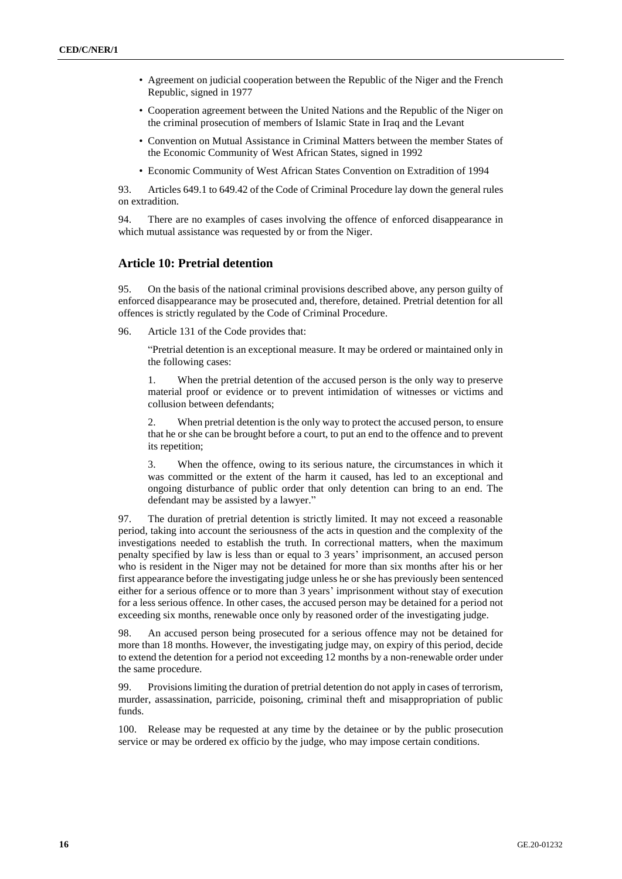- Agreement on judicial cooperation between the Republic of the Niger and the French Republic, signed in 1977
- Cooperation agreement between the United Nations and the Republic of the Niger on the criminal prosecution of members of Islamic State in Iraq and the Levant
- Convention on Mutual Assistance in Criminal Matters between the member States of the Economic Community of West African States, signed in 1992
- Economic Community of West African States Convention on Extradition of 1994

93. Articles 649.1 to 649.42 of the Code of Criminal Procedure lay down the general rules on extradition.

94. There are no examples of cases involving the offence of enforced disappearance in which mutual assistance was requested by or from the Niger.

#### **Article 10: Pretrial detention**

95. On the basis of the national criminal provisions described above, any person guilty of enforced disappearance may be prosecuted and, therefore, detained. Pretrial detention for all offences is strictly regulated by the Code of Criminal Procedure.

96. Article 131 of the Code provides that:

"Pretrial detention is an exceptional measure. It may be ordered or maintained only in the following cases:

1. When the pretrial detention of the accused person is the only way to preserve material proof or evidence or to prevent intimidation of witnesses or victims and collusion between defendants;

2. When pretrial detention is the only way to protect the accused person, to ensure that he or she can be brought before a court, to put an end to the offence and to prevent its repetition;

3. When the offence, owing to its serious nature, the circumstances in which it was committed or the extent of the harm it caused, has led to an exceptional and ongoing disturbance of public order that only detention can bring to an end. The defendant may be assisted by a lawyer."

97. The duration of pretrial detention is strictly limited. It may not exceed a reasonable period, taking into account the seriousness of the acts in question and the complexity of the investigations needed to establish the truth. In correctional matters, when the maximum penalty specified by law is less than or equal to 3 years' imprisonment, an accused person who is resident in the Niger may not be detained for more than six months after his or her first appearance before the investigating judge unless he or she has previously been sentenced either for a serious offence or to more than 3 years' imprisonment without stay of execution for a less serious offence. In other cases, the accused person may be detained for a period not exceeding six months, renewable once only by reasoned order of the investigating judge.

98. An accused person being prosecuted for a serious offence may not be detained for more than 18 months. However, the investigating judge may, on expiry of this period, decide to extend the detention for a period not exceeding 12 months by a non-renewable order under the same procedure.

99. Provisions limiting the duration of pretrial detention do not apply in cases of terrorism, murder, assassination, parricide, poisoning, criminal theft and misappropriation of public funds.

100. Release may be requested at any time by the detainee or by the public prosecution service or may be ordered ex officio by the judge, who may impose certain conditions.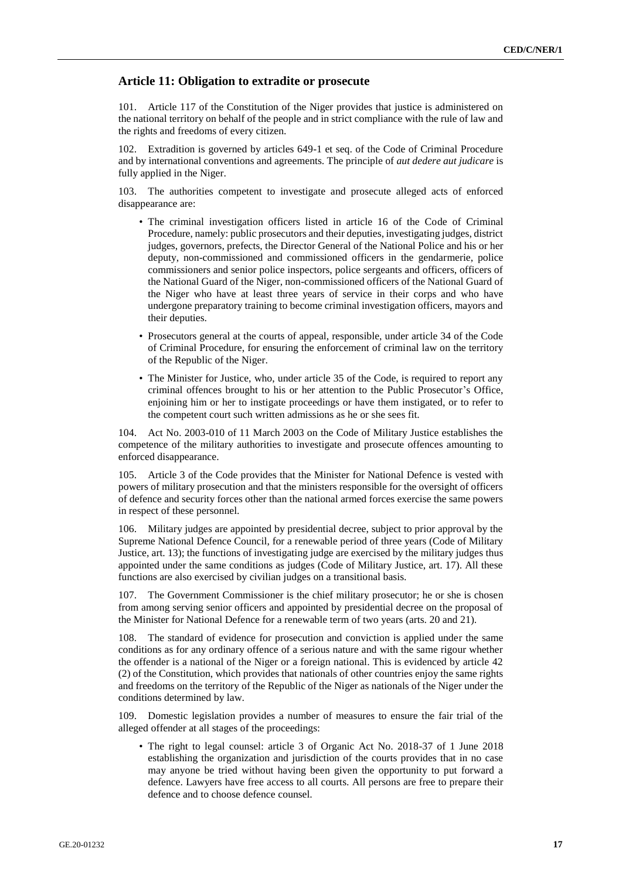#### **Article 11: Obligation to extradite or prosecute**

101. Article 117 of the Constitution of the Niger provides that justice is administered on the national territory on behalf of the people and in strict compliance with the rule of law and the rights and freedoms of every citizen.

102. Extradition is governed by articles 649-1 et seq. of the Code of Criminal Procedure and by international conventions and agreements. The principle of *aut dedere aut judicare* is fully applied in the Niger.

103. The authorities competent to investigate and prosecute alleged acts of enforced disappearance are:

- The criminal investigation officers listed in article 16 of the Code of Criminal Procedure, namely: public prosecutors and their deputies, investigating judges, district judges, governors, prefects, the Director General of the National Police and his or her deputy, non-commissioned and commissioned officers in the gendarmerie, police commissioners and senior police inspectors, police sergeants and officers, officers of the National Guard of the Niger, non-commissioned officers of the National Guard of the Niger who have at least three years of service in their corps and who have undergone preparatory training to become criminal investigation officers, mayors and their deputies.
- Prosecutors general at the courts of appeal, responsible, under article 34 of the Code of Criminal Procedure, for ensuring the enforcement of criminal law on the territory of the Republic of the Niger.
- The Minister for Justice, who, under article 35 of the Code, is required to report any criminal offences brought to his or her attention to the Public Prosecutor's Office, enjoining him or her to instigate proceedings or have them instigated, or to refer to the competent court such written admissions as he or she sees fit.

104. Act No. 2003-010 of 11 March 2003 on the Code of Military Justice establishes the competence of the military authorities to investigate and prosecute offences amounting to enforced disappearance.

105. Article 3 of the Code provides that the Minister for National Defence is vested with powers of military prosecution and that the ministers responsible for the oversight of officers of defence and security forces other than the national armed forces exercise the same powers in respect of these personnel.

106. Military judges are appointed by presidential decree, subject to prior approval by the Supreme National Defence Council, for a renewable period of three years (Code of Military Justice, art. 13); the functions of investigating judge are exercised by the military judges thus appointed under the same conditions as judges (Code of Military Justice, art. 17). All these functions are also exercised by civilian judges on a transitional basis.

107. The Government Commissioner is the chief military prosecutor; he or she is chosen from among serving senior officers and appointed by presidential decree on the proposal of the Minister for National Defence for a renewable term of two years (arts. 20 and 21).

108. The standard of evidence for prosecution and conviction is applied under the same conditions as for any ordinary offence of a serious nature and with the same rigour whether the offender is a national of the Niger or a foreign national. This is evidenced by article 42 (2) of the Constitution, which provides that nationals of other countries enjoy the same rights and freedoms on the territory of the Republic of the Niger as nationals of the Niger under the conditions determined by law.

109. Domestic legislation provides a number of measures to ensure the fair trial of the alleged offender at all stages of the proceedings:

• The right to legal counsel: article 3 of Organic Act No. 2018-37 of 1 June 2018 establishing the organization and jurisdiction of the courts provides that in no case may anyone be tried without having been given the opportunity to put forward a defence. Lawyers have free access to all courts. All persons are free to prepare their defence and to choose defence counsel.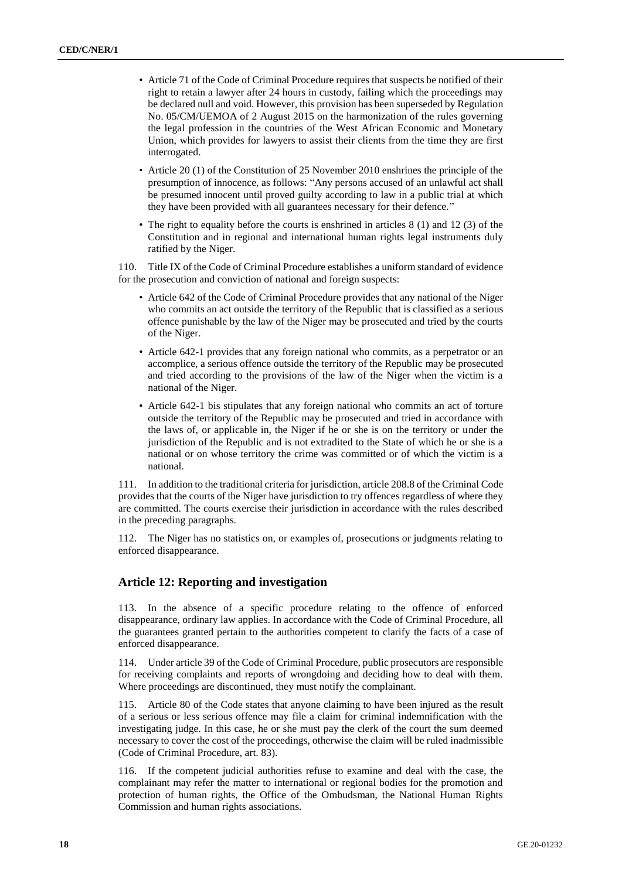- Article 71 of the Code of Criminal Procedure requires that suspects be notified of their right to retain a lawyer after 24 hours in custody, failing which the proceedings may be declared null and void. However, this provision has been superseded by Regulation No. 05/CM/UEMOA of 2 August 2015 on the harmonization of the rules governing the legal profession in the countries of the West African Economic and Monetary Union, which provides for lawyers to assist their clients from the time they are first interrogated.
- Article 20 (1) of the Constitution of 25 November 2010 enshrines the principle of the presumption of innocence, as follows: "Any persons accused of an unlawful act shall be presumed innocent until proved guilty according to law in a public trial at which they have been provided with all guarantees necessary for their defence."
- The right to equality before the courts is enshrined in articles 8 (1) and 12 (3) of the Constitution and in regional and international human rights legal instruments duly ratified by the Niger.

110. Title IX of the Code of Criminal Procedure establishes a uniform standard of evidence for the prosecution and conviction of national and foreign suspects:

- Article 642 of the Code of Criminal Procedure provides that any national of the Niger who commits an act outside the territory of the Republic that is classified as a serious offence punishable by the law of the Niger may be prosecuted and tried by the courts of the Niger.
- Article 642-1 provides that any foreign national who commits, as a perpetrator or an accomplice, a serious offence outside the territory of the Republic may be prosecuted and tried according to the provisions of the law of the Niger when the victim is a national of the Niger.
- Article 642-1 bis stipulates that any foreign national who commits an act of torture outside the territory of the Republic may be prosecuted and tried in accordance with the laws of, or applicable in, the Niger if he or she is on the territory or under the jurisdiction of the Republic and is not extradited to the State of which he or she is a national or on whose territory the crime was committed or of which the victim is a national.

111. In addition to the traditional criteria for jurisdiction, article 208.8 of the Criminal Code provides that the courts of the Niger have jurisdiction to try offences regardless of where they are committed. The courts exercise their jurisdiction in accordance with the rules described in the preceding paragraphs.

112. The Niger has no statistics on, or examples of, prosecutions or judgments relating to enforced disappearance.

## **Article 12: Reporting and investigation**

113. In the absence of a specific procedure relating to the offence of enforced disappearance, ordinary law applies. In accordance with the Code of Criminal Procedure, all the guarantees granted pertain to the authorities competent to clarify the facts of a case of enforced disappearance.

114. Under article 39 of the Code of Criminal Procedure, public prosecutors are responsible for receiving complaints and reports of wrongdoing and deciding how to deal with them. Where proceedings are discontinued, they must notify the complainant.

115. Article 80 of the Code states that anyone claiming to have been injured as the result of a serious or less serious offence may file a claim for criminal indemnification with the investigating judge. In this case, he or she must pay the clerk of the court the sum deemed necessary to cover the cost of the proceedings, otherwise the claim will be ruled inadmissible (Code of Criminal Procedure, art. 83).

116. If the competent judicial authorities refuse to examine and deal with the case, the complainant may refer the matter to international or regional bodies for the promotion and protection of human rights, the Office of the Ombudsman, the National Human Rights Commission and human rights associations.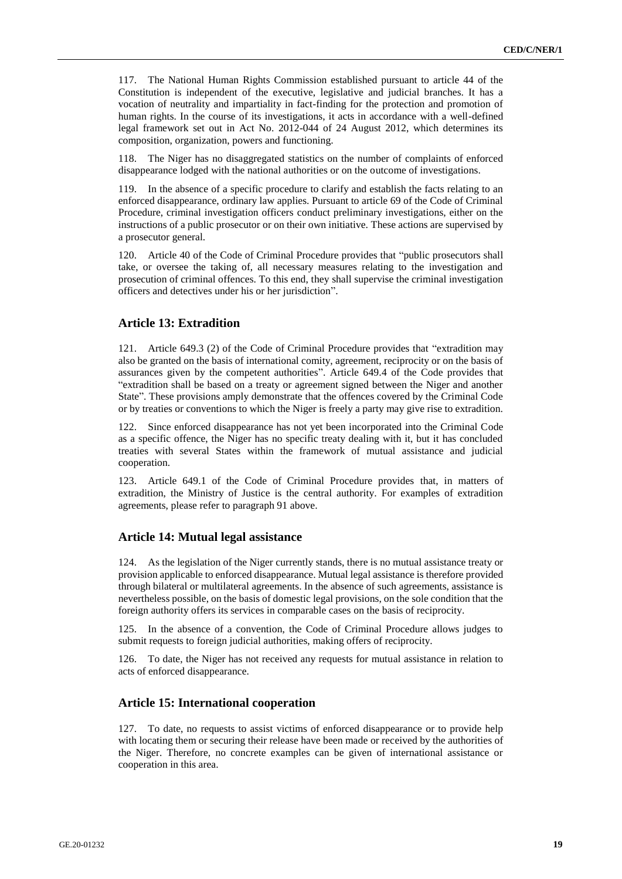117. The National Human Rights Commission established pursuant to article 44 of the Constitution is independent of the executive, legislative and judicial branches. It has a vocation of neutrality and impartiality in fact-finding for the protection and promotion of human rights. In the course of its investigations, it acts in accordance with a well-defined legal framework set out in Act No. 2012-044 of 24 August 2012, which determines its composition, organization, powers and functioning.

118. The Niger has no disaggregated statistics on the number of complaints of enforced disappearance lodged with the national authorities or on the outcome of investigations.

119. In the absence of a specific procedure to clarify and establish the facts relating to an enforced disappearance, ordinary law applies. Pursuant to article 69 of the Code of Criminal Procedure, criminal investigation officers conduct preliminary investigations, either on the instructions of a public prosecutor or on their own initiative. These actions are supervised by a prosecutor general.

120. Article 40 of the Code of Criminal Procedure provides that "public prosecutors shall take, or oversee the taking of, all necessary measures relating to the investigation and prosecution of criminal offences. To this end, they shall supervise the criminal investigation officers and detectives under his or her jurisdiction".

## **Article 13: Extradition**

121. Article 649.3 (2) of the Code of Criminal Procedure provides that "extradition may also be granted on the basis of international comity, agreement, reciprocity or on the basis of assurances given by the competent authorities". Article 649.4 of the Code provides that "extradition shall be based on a treaty or agreement signed between the Niger and another State". These provisions amply demonstrate that the offences covered by the Criminal Code or by treaties or conventions to which the Niger is freely a party may give rise to extradition.

122. Since enforced disappearance has not yet been incorporated into the Criminal Code as a specific offence, the Niger has no specific treaty dealing with it, but it has concluded treaties with several States within the framework of mutual assistance and judicial cooperation.

123. Article 649.1 of the Code of Criminal Procedure provides that, in matters of extradition, the Ministry of Justice is the central authority. For examples of extradition agreements, please refer to paragraph 91 above.

#### **Article 14: Mutual legal assistance**

124. As the legislation of the Niger currently stands, there is no mutual assistance treaty or provision applicable to enforced disappearance. Mutual legal assistance is therefore provided through bilateral or multilateral agreements. In the absence of such agreements, assistance is nevertheless possible, on the basis of domestic legal provisions, on the sole condition that the foreign authority offers its services in comparable cases on the basis of reciprocity.

125. In the absence of a convention, the Code of Criminal Procedure allows judges to submit requests to foreign judicial authorities, making offers of reciprocity.

126. To date, the Niger has not received any requests for mutual assistance in relation to acts of enforced disappearance.

#### **Article 15: International cooperation**

127. To date, no requests to assist victims of enforced disappearance or to provide help with locating them or securing their release have been made or received by the authorities of the Niger. Therefore, no concrete examples can be given of international assistance or cooperation in this area.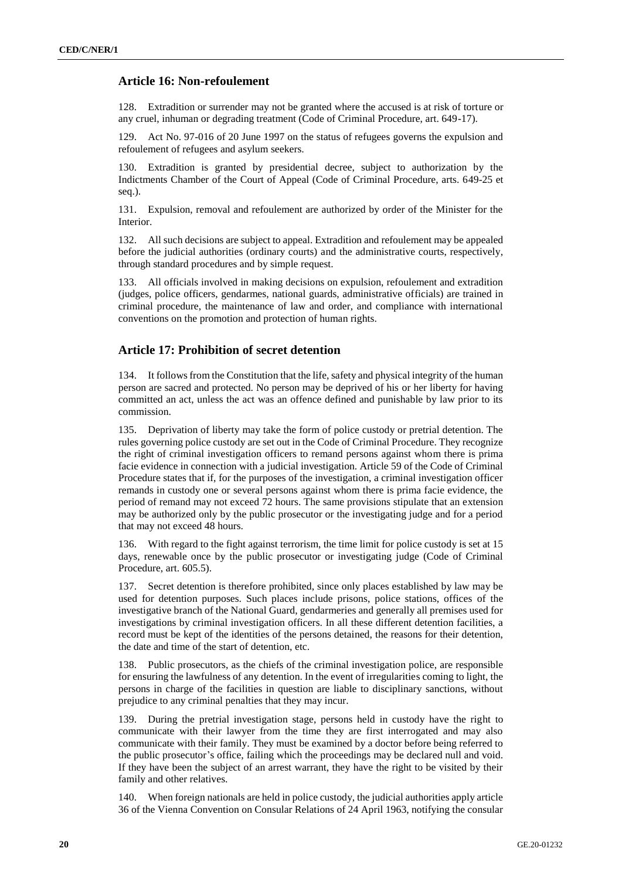# **Article 16: Non-refoulement**

128. Extradition or surrender may not be granted where the accused is at risk of torture or any cruel, inhuman or degrading treatment (Code of Criminal Procedure, art. 649-17).

129. Act No. 97-016 of 20 June 1997 on the status of refugees governs the expulsion and refoulement of refugees and asylum seekers.

130. Extradition is granted by presidential decree, subject to authorization by the Indictments Chamber of the Court of Appeal (Code of Criminal Procedure, arts. 649-25 et seq.).

131. Expulsion, removal and refoulement are authorized by order of the Minister for the Interior.

132. All such decisions are subject to appeal. Extradition and refoulement may be appealed before the judicial authorities (ordinary courts) and the administrative courts, respectively, through standard procedures and by simple request.

133. All officials involved in making decisions on expulsion, refoulement and extradition (judges, police officers, gendarmes, national guards, administrative officials) are trained in criminal procedure, the maintenance of law and order, and compliance with international conventions on the promotion and protection of human rights.

#### **Article 17: Prohibition of secret detention**

134. It follows from the Constitution that the life, safety and physical integrity of the human person are sacred and protected. No person may be deprived of his or her liberty for having committed an act, unless the act was an offence defined and punishable by law prior to its commission.

135. Deprivation of liberty may take the form of police custody or pretrial detention. The rules governing police custody are set out in the Code of Criminal Procedure. They recognize the right of criminal investigation officers to remand persons against whom there is prima facie evidence in connection with a judicial investigation. Article 59 of the Code of Criminal Procedure states that if, for the purposes of the investigation, a criminal investigation officer remands in custody one or several persons against whom there is prima facie evidence, the period of remand may not exceed 72 hours. The same provisions stipulate that an extension may be authorized only by the public prosecutor or the investigating judge and for a period that may not exceed 48 hours.

136. With regard to the fight against terrorism, the time limit for police custody is set at 15 days, renewable once by the public prosecutor or investigating judge (Code of Criminal Procedure, art. 605.5).

137. Secret detention is therefore prohibited, since only places established by law may be used for detention purposes. Such places include prisons, police stations, offices of the investigative branch of the National Guard, gendarmeries and generally all premises used for investigations by criminal investigation officers. In all these different detention facilities, a record must be kept of the identities of the persons detained, the reasons for their detention, the date and time of the start of detention, etc.

138. Public prosecutors, as the chiefs of the criminal investigation police, are responsible for ensuring the lawfulness of any detention. In the event of irregularities coming to light, the persons in charge of the facilities in question are liable to disciplinary sanctions, without prejudice to any criminal penalties that they may incur.

139. During the pretrial investigation stage, persons held in custody have the right to communicate with their lawyer from the time they are first interrogated and may also communicate with their family. They must be examined by a doctor before being referred to the public prosecutor's office, failing which the proceedings may be declared null and void. If they have been the subject of an arrest warrant, they have the right to be visited by their family and other relatives.

140. When foreign nationals are held in police custody, the judicial authorities apply article 36 of the Vienna Convention on Consular Relations of 24 April 1963, notifying the consular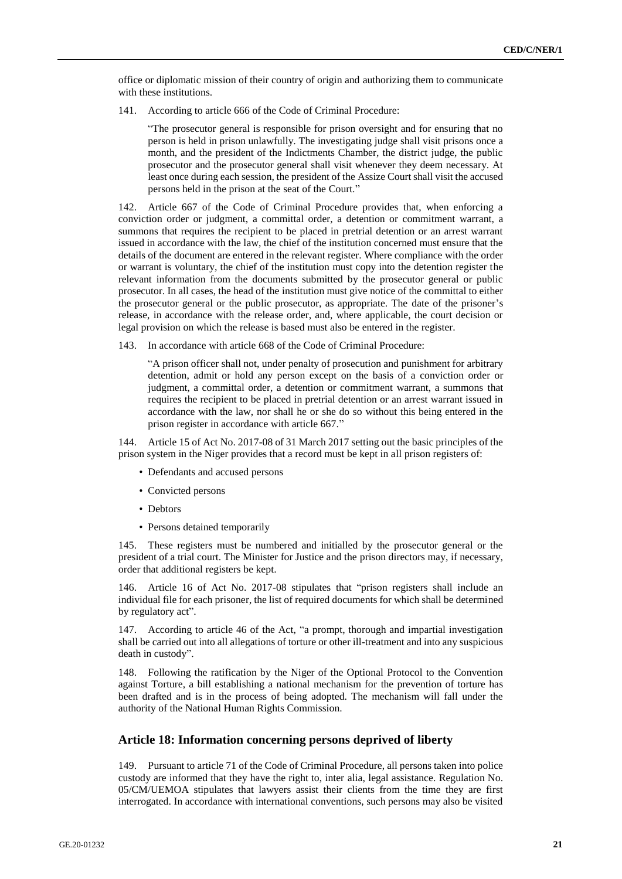office or diplomatic mission of their country of origin and authorizing them to communicate with these institutions.

141. According to article 666 of the Code of Criminal Procedure:

"The prosecutor general is responsible for prison oversight and for ensuring that no person is held in prison unlawfully. The investigating judge shall visit prisons once a month, and the president of the Indictments Chamber, the district judge, the public prosecutor and the prosecutor general shall visit whenever they deem necessary. At least once during each session, the president of the Assize Court shall visit the accused persons held in the prison at the seat of the Court."

142. Article 667 of the Code of Criminal Procedure provides that, when enforcing a conviction order or judgment, a committal order, a detention or commitment warrant, a summons that requires the recipient to be placed in pretrial detention or an arrest warrant issued in accordance with the law, the chief of the institution concerned must ensure that the details of the document are entered in the relevant register. Where compliance with the order or warrant is voluntary, the chief of the institution must copy into the detention register the relevant information from the documents submitted by the prosecutor general or public prosecutor. In all cases, the head of the institution must give notice of the committal to either the prosecutor general or the public prosecutor, as appropriate. The date of the prisoner's release, in accordance with the release order, and, where applicable, the court decision or legal provision on which the release is based must also be entered in the register.

143. In accordance with article 668 of the Code of Criminal Procedure:

"A prison officer shall not, under penalty of prosecution and punishment for arbitrary detention, admit or hold any person except on the basis of a conviction order or judgment, a committal order, a detention or commitment warrant, a summons that requires the recipient to be placed in pretrial detention or an arrest warrant issued in accordance with the law, nor shall he or she do so without this being entered in the prison register in accordance with article 667."

144. Article 15 of Act No. 2017-08 of 31 March 2017 setting out the basic principles of the prison system in the Niger provides that a record must be kept in all prison registers of:

- Defendants and accused persons
- Convicted persons
- Debtors
- Persons detained temporarily

145. These registers must be numbered and initialled by the prosecutor general or the president of a trial court. The Minister for Justice and the prison directors may, if necessary, order that additional registers be kept.

146. Article 16 of Act No. 2017-08 stipulates that "prison registers shall include an individual file for each prisoner, the list of required documents for which shall be determined by regulatory act".

According to article 46 of the Act, "a prompt, thorough and impartial investigation shall be carried out into all allegations of torture or other ill-treatment and into any suspicious death in custody".

148. Following the ratification by the Niger of the Optional Protocol to the Convention against Torture, a bill establishing a national mechanism for the prevention of torture has been drafted and is in the process of being adopted. The mechanism will fall under the authority of the National Human Rights Commission.

#### **Article 18: Information concerning persons deprived of liberty**

149. Pursuant to article 71 of the Code of Criminal Procedure, all persons taken into police custody are informed that they have the right to, inter alia, legal assistance. Regulation No. 05/CM/UEMOA stipulates that lawyers assist their clients from the time they are first interrogated. In accordance with international conventions, such persons may also be visited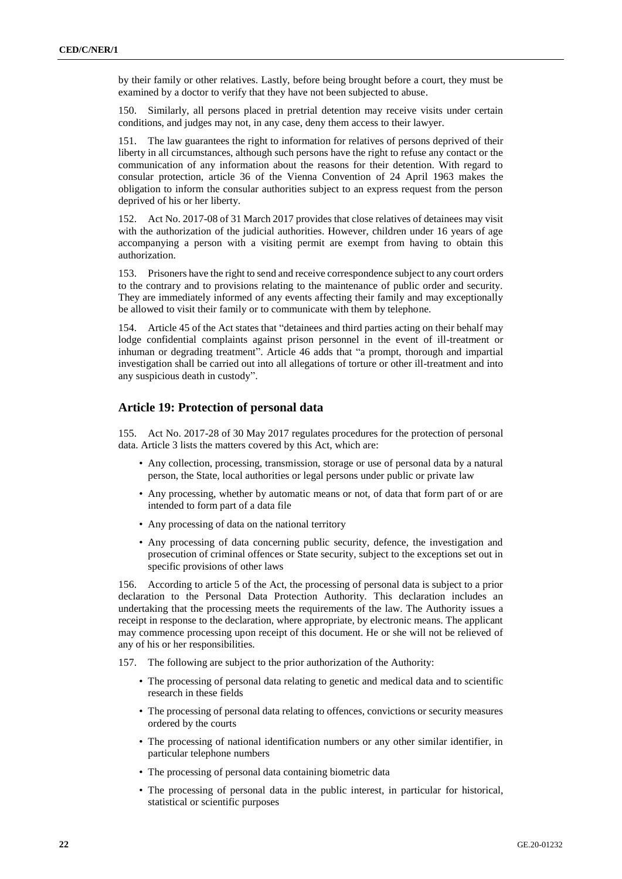by their family or other relatives. Lastly, before being brought before a court, they must be examined by a doctor to verify that they have not been subjected to abuse.

150. Similarly, all persons placed in pretrial detention may receive visits under certain conditions, and judges may not, in any case, deny them access to their lawyer.

151. The law guarantees the right to information for relatives of persons deprived of their liberty in all circumstances, although such persons have the right to refuse any contact or the communication of any information about the reasons for their detention. With regard to consular protection, article 36 of the Vienna Convention of 24 April 1963 makes the obligation to inform the consular authorities subject to an express request from the person deprived of his or her liberty.

152. Act No. 2017-08 of 31 March 2017 provides that close relatives of detainees may visit with the authorization of the judicial authorities. However, children under 16 years of age accompanying a person with a visiting permit are exempt from having to obtain this authorization.

153. Prisoners have the right to send and receive correspondence subject to any court orders to the contrary and to provisions relating to the maintenance of public order and security. They are immediately informed of any events affecting their family and may exceptionally be allowed to visit their family or to communicate with them by telephone.

154. Article 45 of the Act states that "detainees and third parties acting on their behalf may lodge confidential complaints against prison personnel in the event of ill-treatment or inhuman or degrading treatment". Article 46 adds that "a prompt, thorough and impartial investigation shall be carried out into all allegations of torture or other ill-treatment and into any suspicious death in custody".

#### **Article 19: Protection of personal data**

155. Act No. 2017-28 of 30 May 2017 regulates procedures for the protection of personal data. Article 3 lists the matters covered by this Act, which are:

- Any collection, processing, transmission, storage or use of personal data by a natural person, the State, local authorities or legal persons under public or private law
- Any processing, whether by automatic means or not, of data that form part of or are intended to form part of a data file
- Any processing of data on the national territory
- Any processing of data concerning public security, defence, the investigation and prosecution of criminal offences or State security, subject to the exceptions set out in specific provisions of other laws

156. According to article 5 of the Act, the processing of personal data is subject to a prior declaration to the Personal Data Protection Authority. This declaration includes an undertaking that the processing meets the requirements of the law. The Authority issues a receipt in response to the declaration, where appropriate, by electronic means. The applicant may commence processing upon receipt of this document. He or she will not be relieved of any of his or her responsibilities.

- 157. The following are subject to the prior authorization of the Authority:
	- The processing of personal data relating to genetic and medical data and to scientific research in these fields
	- The processing of personal data relating to offences, convictions or security measures ordered by the courts
	- The processing of national identification numbers or any other similar identifier, in particular telephone numbers
	- The processing of personal data containing biometric data
	- The processing of personal data in the public interest, in particular for historical, statistical or scientific purposes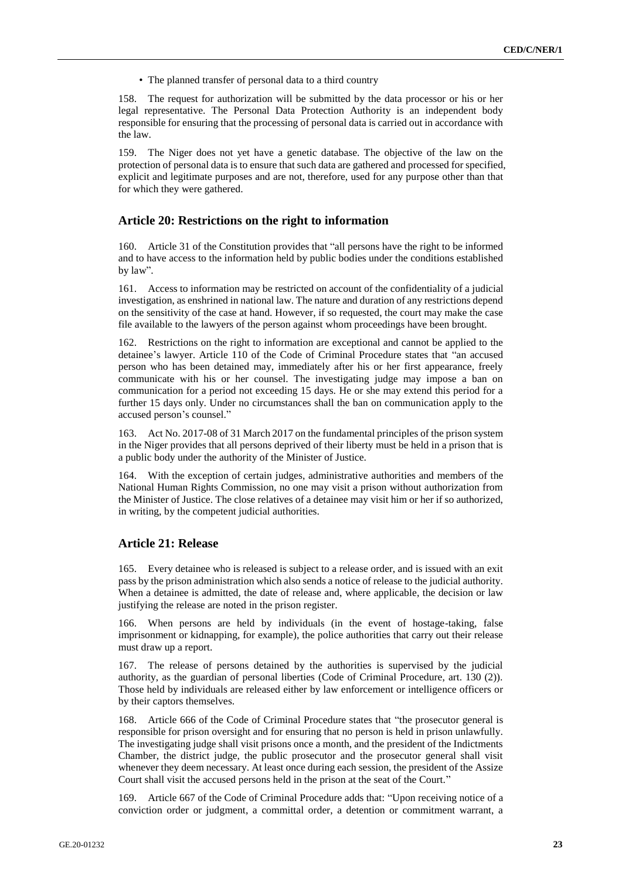• The planned transfer of personal data to a third country

158. The request for authorization will be submitted by the data processor or his or her legal representative. The Personal Data Protection Authority is an independent body responsible for ensuring that the processing of personal data is carried out in accordance with the law.

159. The Niger does not yet have a genetic database. The objective of the law on the protection of personal data is to ensure that such data are gathered and processed for specified, explicit and legitimate purposes and are not, therefore, used for any purpose other than that for which they were gathered.

#### **Article 20: Restrictions on the right to information**

160. Article 31 of the Constitution provides that "all persons have the right to be informed and to have access to the information held by public bodies under the conditions established by law".

161. Access to information may be restricted on account of the confidentiality of a judicial investigation, as enshrined in national law. The nature and duration of any restrictions depend on the sensitivity of the case at hand. However, if so requested, the court may make the case file available to the lawyers of the person against whom proceedings have been brought.

162. Restrictions on the right to information are exceptional and cannot be applied to the detainee's lawyer. Article 110 of the Code of Criminal Procedure states that "an accused person who has been detained may, immediately after his or her first appearance, freely communicate with his or her counsel. The investigating judge may impose a ban on communication for a period not exceeding 15 days. He or she may extend this period for a further 15 days only. Under no circumstances shall the ban on communication apply to the accused person's counsel."

163. Act No. 2017-08 of 31 March 2017 on the fundamental principles of the prison system in the Niger provides that all persons deprived of their liberty must be held in a prison that is a public body under the authority of the Minister of Justice.

164. With the exception of certain judges, administrative authorities and members of the National Human Rights Commission, no one may visit a prison without authorization from the Minister of Justice. The close relatives of a detainee may visit him or her if so authorized, in writing, by the competent judicial authorities.

#### **Article 21: Release**

165. Every detainee who is released is subject to a release order, and is issued with an exit pass by the prison administration which also sends a notice of release to the judicial authority. When a detainee is admitted, the date of release and, where applicable, the decision or law justifying the release are noted in the prison register.

166. When persons are held by individuals (in the event of hostage-taking, false imprisonment or kidnapping, for example), the police authorities that carry out their release must draw up a report.

167. The release of persons detained by the authorities is supervised by the judicial authority, as the guardian of personal liberties (Code of Criminal Procedure, art. 130 (2)). Those held by individuals are released either by law enforcement or intelligence officers or by their captors themselves.

168. Article 666 of the Code of Criminal Procedure states that "the prosecutor general is responsible for prison oversight and for ensuring that no person is held in prison unlawfully. The investigating judge shall visit prisons once a month, and the president of the Indictments Chamber, the district judge, the public prosecutor and the prosecutor general shall visit whenever they deem necessary. At least once during each session, the president of the Assize Court shall visit the accused persons held in the prison at the seat of the Court."

169. Article 667 of the Code of Criminal Procedure adds that: "Upon receiving notice of a conviction order or judgment, a committal order, a detention or commitment warrant, a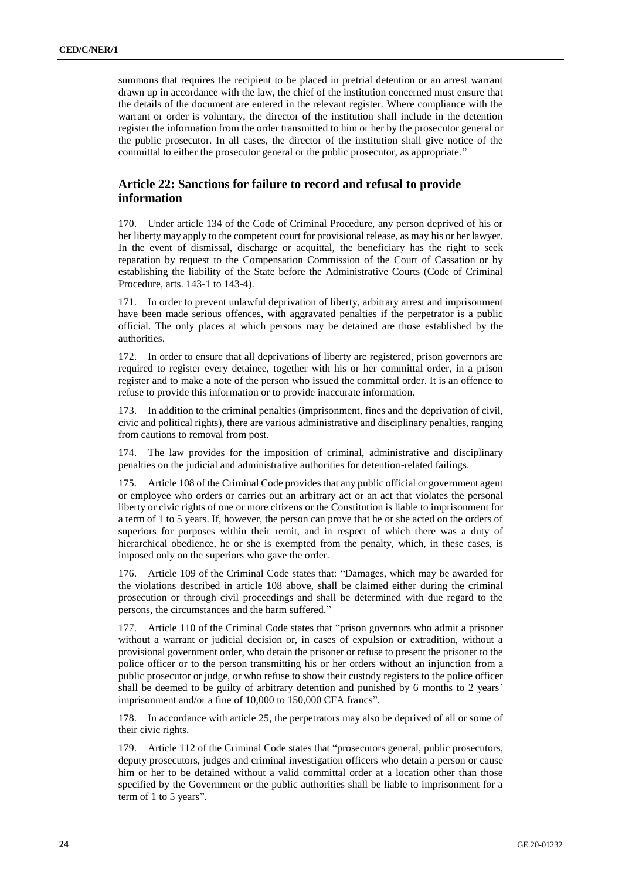summons that requires the recipient to be placed in pretrial detention or an arrest warrant drawn up in accordance with the law, the chief of the institution concerned must ensure that the details of the document are entered in the relevant register. Where compliance with the warrant or order is voluntary, the director of the institution shall include in the detention register the information from the order transmitted to him or her by the prosecutor general or the public prosecutor. In all cases, the director of the institution shall give notice of the committal to either the prosecutor general or the public prosecutor, as appropriate."

# **Article 22: Sanctions for failure to record and refusal to provide information**

170. Under article 134 of the Code of Criminal Procedure, any person deprived of his or her liberty may apply to the competent court for provisional release, as may his or her lawyer. In the event of dismissal, discharge or acquittal, the beneficiary has the right to seek reparation by request to the Compensation Commission of the Court of Cassation or by establishing the liability of the State before the Administrative Courts (Code of Criminal Procedure, arts. 143-1 to 143-4).

171. In order to prevent unlawful deprivation of liberty, arbitrary arrest and imprisonment have been made serious offences, with aggravated penalties if the perpetrator is a public official. The only places at which persons may be detained are those established by the authorities.

172. In order to ensure that all deprivations of liberty are registered, prison governors are required to register every detainee, together with his or her committal order, in a prison register and to make a note of the person who issued the committal order. It is an offence to refuse to provide this information or to provide inaccurate information.

173. In addition to the criminal penalties (imprisonment, fines and the deprivation of civil, civic and political rights), there are various administrative and disciplinary penalties, ranging from cautions to removal from post.

174. The law provides for the imposition of criminal, administrative and disciplinary penalties on the judicial and administrative authorities for detention-related failings.

175. Article 108 of the Criminal Code provides that any public official or government agent or employee who orders or carries out an arbitrary act or an act that violates the personal liberty or civic rights of one or more citizens or the Constitution is liable to imprisonment for a term of 1 to 5 years. If, however, the person can prove that he or she acted on the orders of superiors for purposes within their remit, and in respect of which there was a duty of hierarchical obedience, he or she is exempted from the penalty, which, in these cases, is imposed only on the superiors who gave the order.

176. Article 109 of the Criminal Code states that: "Damages, which may be awarded for the violations described in article 108 above, shall be claimed either during the criminal prosecution or through civil proceedings and shall be determined with due regard to the persons, the circumstances and the harm suffered."

177. Article 110 of the Criminal Code states that "prison governors who admit a prisoner without a warrant or judicial decision or, in cases of expulsion or extradition, without a provisional government order, who detain the prisoner or refuse to present the prisoner to the police officer or to the person transmitting his or her orders without an injunction from a public prosecutor or judge, or who refuse to show their custody registers to the police officer shall be deemed to be guilty of arbitrary detention and punished by 6 months to 2 years' imprisonment and/or a fine of 10,000 to 150,000 CFA francs".

178. In accordance with article 25, the perpetrators may also be deprived of all or some of their civic rights.

179. Article 112 of the Criminal Code states that "prosecutors general, public prosecutors, deputy prosecutors, judges and criminal investigation officers who detain a person or cause him or her to be detained without a valid committal order at a location other than those specified by the Government or the public authorities shall be liable to imprisonment for a term of 1 to 5 years".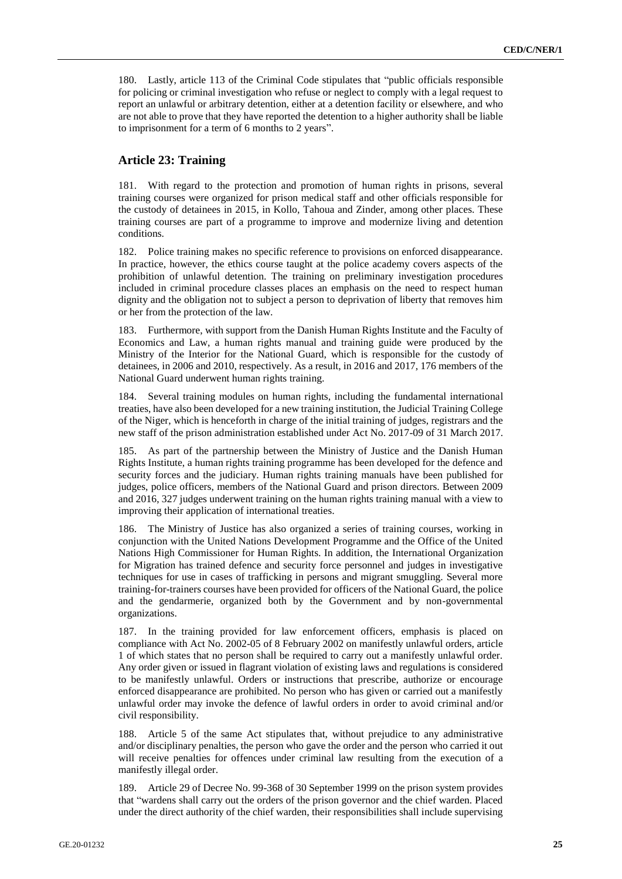180. Lastly, article 113 of the Criminal Code stipulates that "public officials responsible for policing or criminal investigation who refuse or neglect to comply with a legal request to report an unlawful or arbitrary detention, either at a detention facility or elsewhere, and who are not able to prove that they have reported the detention to a higher authority shall be liable to imprisonment for a term of 6 months to 2 years".

#### **Article 23: Training**

181. With regard to the protection and promotion of human rights in prisons, several training courses were organized for prison medical staff and other officials responsible for the custody of detainees in 2015, in Kollo, Tahoua and Zinder, among other places. These training courses are part of a programme to improve and modernize living and detention conditions.

182. Police training makes no specific reference to provisions on enforced disappearance. In practice, however, the ethics course taught at the police academy covers aspects of the prohibition of unlawful detention. The training on preliminary investigation procedures included in criminal procedure classes places an emphasis on the need to respect human dignity and the obligation not to subject a person to deprivation of liberty that removes him or her from the protection of the law.

183. Furthermore, with support from the Danish Human Rights Institute and the Faculty of Economics and Law, a human rights manual and training guide were produced by the Ministry of the Interior for the National Guard, which is responsible for the custody of detainees, in 2006 and 2010, respectively. As a result, in 2016 and 2017, 176 members of the National Guard underwent human rights training.

184. Several training modules on human rights, including the fundamental international treaties, have also been developed for a new training institution, the Judicial Training College of the Niger, which is henceforth in charge of the initial training of judges, registrars and the new staff of the prison administration established under Act No. 2017-09 of 31 March 2017.

185. As part of the partnership between the Ministry of Justice and the Danish Human Rights Institute, a human rights training programme has been developed for the defence and security forces and the judiciary. Human rights training manuals have been published for judges, police officers, members of the National Guard and prison directors. Between 2009 and 2016, 327 judges underwent training on the human rights training manual with a view to improving their application of international treaties.

186. The Ministry of Justice has also organized a series of training courses, working in conjunction with the United Nations Development Programme and the Office of the United Nations High Commissioner for Human Rights. In addition, the International Organization for Migration has trained defence and security force personnel and judges in investigative techniques for use in cases of trafficking in persons and migrant smuggling. Several more training-for-trainers courses have been provided for officers of the National Guard, the police and the gendarmerie, organized both by the Government and by non-governmental organizations.

187. In the training provided for law enforcement officers, emphasis is placed on compliance with Act No. 2002-05 of 8 February 2002 on manifestly unlawful orders, article 1 of which states that no person shall be required to carry out a manifestly unlawful order. Any order given or issued in flagrant violation of existing laws and regulations is considered to be manifestly unlawful. Orders or instructions that prescribe, authorize or encourage enforced disappearance are prohibited. No person who has given or carried out a manifestly unlawful order may invoke the defence of lawful orders in order to avoid criminal and/or civil responsibility.

188. Article 5 of the same Act stipulates that, without prejudice to any administrative and/or disciplinary penalties, the person who gave the order and the person who carried it out will receive penalties for offences under criminal law resulting from the execution of a manifestly illegal order.

189. Article 29 of Decree No. 99-368 of 30 September 1999 on the prison system provides that "wardens shall carry out the orders of the prison governor and the chief warden. Placed under the direct authority of the chief warden, their responsibilities shall include supervising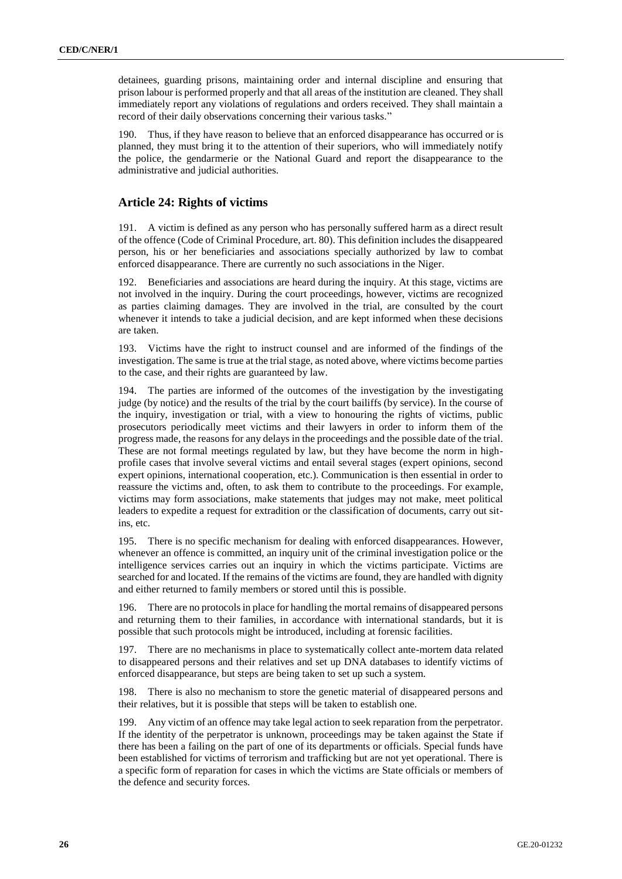detainees, guarding prisons, maintaining order and internal discipline and ensuring that prison labour is performed properly and that all areas of the institution are cleaned. They shall immediately report any violations of regulations and orders received. They shall maintain a record of their daily observations concerning their various tasks."

190. Thus, if they have reason to believe that an enforced disappearance has occurred or is planned, they must bring it to the attention of their superiors, who will immediately notify the police, the gendarmerie or the National Guard and report the disappearance to the administrative and judicial authorities.

#### **Article 24: Rights of victims**

191. A victim is defined as any person who has personally suffered harm as a direct result of the offence (Code of Criminal Procedure, art. 80). This definition includes the disappeared person, his or her beneficiaries and associations specially authorized by law to combat enforced disappearance. There are currently no such associations in the Niger.

192. Beneficiaries and associations are heard during the inquiry. At this stage, victims are not involved in the inquiry. During the court proceedings, however, victims are recognized as parties claiming damages. They are involved in the trial, are consulted by the court whenever it intends to take a judicial decision, and are kept informed when these decisions are taken.

193. Victims have the right to instruct counsel and are informed of the findings of the investigation. The same is true at the trial stage, as noted above, where victims become parties to the case, and their rights are guaranteed by law.

194. The parties are informed of the outcomes of the investigation by the investigating judge (by notice) and the results of the trial by the court bailiffs (by service). In the course of the inquiry, investigation or trial, with a view to honouring the rights of victims, public prosecutors periodically meet victims and their lawyers in order to inform them of the progress made, the reasons for any delays in the proceedings and the possible date of the trial. These are not formal meetings regulated by law, but they have become the norm in highprofile cases that involve several victims and entail several stages (expert opinions, second expert opinions, international cooperation, etc.). Communication is then essential in order to reassure the victims and, often, to ask them to contribute to the proceedings. For example, victims may form associations, make statements that judges may not make, meet political leaders to expedite a request for extradition or the classification of documents, carry out sitins, etc.

195. There is no specific mechanism for dealing with enforced disappearances. However, whenever an offence is committed, an inquiry unit of the criminal investigation police or the intelligence services carries out an inquiry in which the victims participate. Victims are searched for and located. If the remains of the victims are found, they are handled with dignity and either returned to family members or stored until this is possible.

196. There are no protocols in place for handling the mortal remains of disappeared persons and returning them to their families, in accordance with international standards, but it is possible that such protocols might be introduced, including at forensic facilities.

197. There are no mechanisms in place to systematically collect ante-mortem data related to disappeared persons and their relatives and set up DNA databases to identify victims of enforced disappearance, but steps are being taken to set up such a system.

198. There is also no mechanism to store the genetic material of disappeared persons and their relatives, but it is possible that steps will be taken to establish one.

199. Any victim of an offence may take legal action to seek reparation from the perpetrator. If the identity of the perpetrator is unknown, proceedings may be taken against the State if there has been a failing on the part of one of its departments or officials. Special funds have been established for victims of terrorism and trafficking but are not yet operational. There is a specific form of reparation for cases in which the victims are State officials or members of the defence and security forces.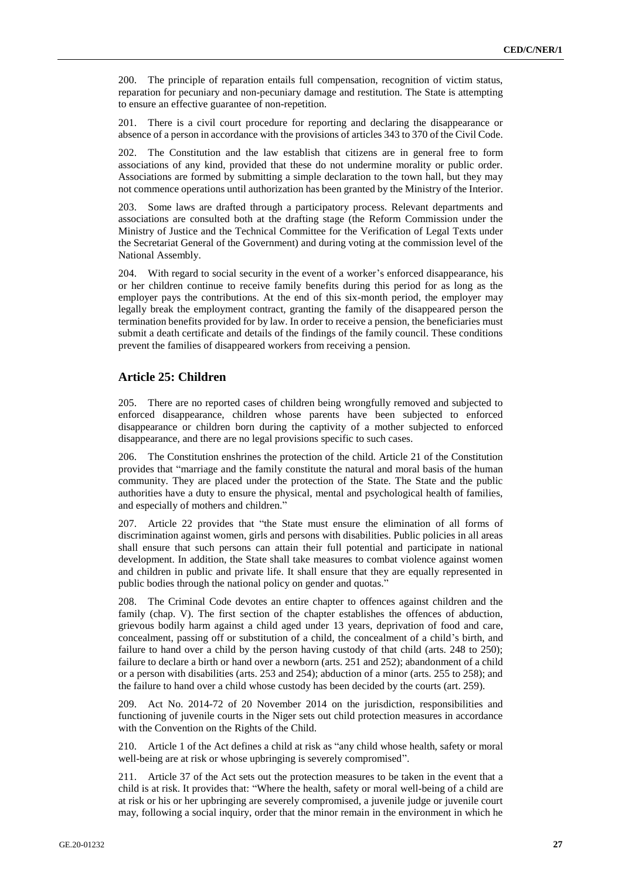200. The principle of reparation entails full compensation, recognition of victim status, reparation for pecuniary and non-pecuniary damage and restitution. The State is attempting to ensure an effective guarantee of non-repetition.

201. There is a civil court procedure for reporting and declaring the disappearance or absence of a person in accordance with the provisions of articles 343 to 370 of the Civil Code.

202. The Constitution and the law establish that citizens are in general free to form associations of any kind, provided that these do not undermine morality or public order. Associations are formed by submitting a simple declaration to the town hall, but they may not commence operations until authorization has been granted by the Ministry of the Interior.

203. Some laws are drafted through a participatory process. Relevant departments and associations are consulted both at the drafting stage (the Reform Commission under the Ministry of Justice and the Technical Committee for the Verification of Legal Texts under the Secretariat General of the Government) and during voting at the commission level of the National Assembly.

204. With regard to social security in the event of a worker's enforced disappearance, his or her children continue to receive family benefits during this period for as long as the employer pays the contributions. At the end of this six-month period, the employer may legally break the employment contract, granting the family of the disappeared person the termination benefits provided for by law. In order to receive a pension, the beneficiaries must submit a death certificate and details of the findings of the family council. These conditions prevent the families of disappeared workers from receiving a pension.

#### **Article 25: Children**

205. There are no reported cases of children being wrongfully removed and subjected to enforced disappearance, children whose parents have been subjected to enforced disappearance or children born during the captivity of a mother subjected to enforced disappearance, and there are no legal provisions specific to such cases.

The Constitution enshrines the protection of the child. Article 21 of the Constitution provides that "marriage and the family constitute the natural and moral basis of the human community. They are placed under the protection of the State. The State and the public authorities have a duty to ensure the physical, mental and psychological health of families, and especially of mothers and children."

207. Article 22 provides that "the State must ensure the elimination of all forms of discrimination against women, girls and persons with disabilities. Public policies in all areas shall ensure that such persons can attain their full potential and participate in national development. In addition, the State shall take measures to combat violence against women and children in public and private life. It shall ensure that they are equally represented in public bodies through the national policy on gender and quotas."

208. The Criminal Code devotes an entire chapter to offences against children and the family (chap. V). The first section of the chapter establishes the offences of abduction, grievous bodily harm against a child aged under 13 years, deprivation of food and care, concealment, passing off or substitution of a child, the concealment of a child's birth, and failure to hand over a child by the person having custody of that child (arts. 248 to 250); failure to declare a birth or hand over a newborn (arts. 251 and 252); abandonment of a child or a person with disabilities (arts. 253 and 254); abduction of a minor (arts. 255 to 258); and the failure to hand over a child whose custody has been decided by the courts (art. 259).

209. Act No. 2014-72 of 20 November 2014 on the jurisdiction, responsibilities and functioning of juvenile courts in the Niger sets out child protection measures in accordance with the Convention on the Rights of the Child.

210. Article 1 of the Act defines a child at risk as "any child whose health, safety or moral well-being are at risk or whose upbringing is severely compromised".

211. Article 37 of the Act sets out the protection measures to be taken in the event that a child is at risk. It provides that: "Where the health, safety or moral well-being of a child are at risk or his or her upbringing are severely compromised, a juvenile judge or juvenile court may, following a social inquiry, order that the minor remain in the environment in which he